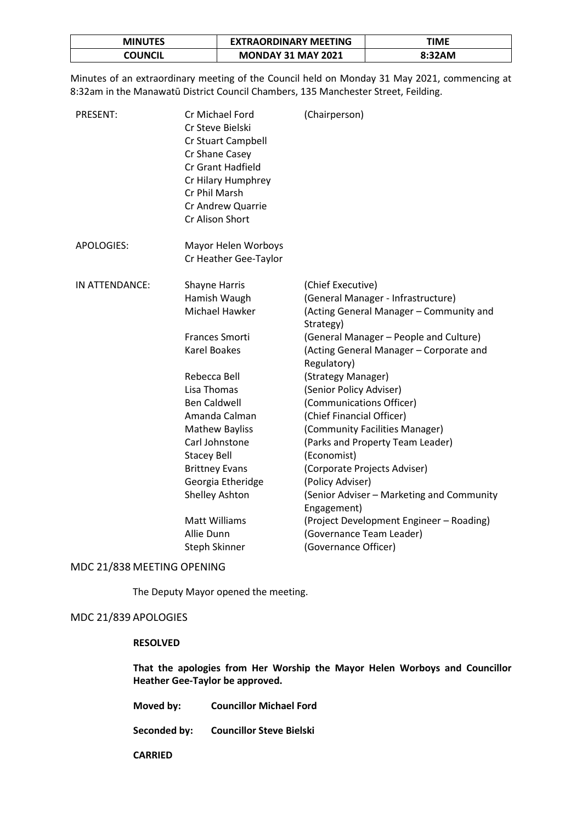| <b>MINUTES</b> | <b>EXTRAORDINARY MEETING</b> | TIME   |
|----------------|------------------------------|--------|
| COUNCIL        | <b>MONDAY 31 MAY 2021</b>    | 8:32AM |

Minutes of an extraordinary meeting of the Council held on Monday 31 May 2021, commencing at 8:32am in the Manawatū District Council Chambers, 135 Manchester Street, Feilding.

| Cr Michael Ford<br>Cr Steve Bielski<br>Cr Stuart Campbell<br>Cr Shane Casey<br><b>Cr Grant Hadfield</b><br>Cr Hilary Humphrey<br>Cr Phil Marsh<br>Cr Andrew Quarrie<br>Cr Alison Short                                                                                                                                                               | (Chairperson)                                                                                                                                                                                                                                                                                                                                                                                                                                                                                                                                                                                                                      |
|------------------------------------------------------------------------------------------------------------------------------------------------------------------------------------------------------------------------------------------------------------------------------------------------------------------------------------------------------|------------------------------------------------------------------------------------------------------------------------------------------------------------------------------------------------------------------------------------------------------------------------------------------------------------------------------------------------------------------------------------------------------------------------------------------------------------------------------------------------------------------------------------------------------------------------------------------------------------------------------------|
| Mayor Helen Worboys<br>Cr Heather Gee-Taylor                                                                                                                                                                                                                                                                                                         |                                                                                                                                                                                                                                                                                                                                                                                                                                                                                                                                                                                                                                    |
| <b>Shayne Harris</b><br>Hamish Waugh<br>Michael Hawker<br>Frances Smorti<br><b>Karel Boakes</b><br>Rebecca Bell<br>Lisa Thomas<br><b>Ben Caldwell</b><br>Amanda Calman<br><b>Mathew Bayliss</b><br>Carl Johnstone<br><b>Stacey Bell</b><br><b>Brittney Evans</b><br>Georgia Etheridge<br><b>Shelley Ashton</b><br><b>Matt Williams</b><br>Allie Dunn | (Chief Executive)<br>(General Manager - Infrastructure)<br>(Acting General Manager - Community and<br>Strategy)<br>(General Manager - People and Culture)<br>(Acting General Manager - Corporate and<br>Regulatory)<br>(Strategy Manager)<br>(Senior Policy Adviser)<br>(Communications Officer)<br>(Chief Financial Officer)<br>(Community Facilities Manager)<br>(Parks and Property Team Leader)<br>(Economist)<br>(Corporate Projects Adviser)<br>(Policy Adviser)<br>(Senior Adviser - Marketing and Community<br>Engagement)<br>(Project Development Engineer - Roading)<br>(Governance Team Leader)<br>(Governance Officer) |
|                                                                                                                                                                                                                                                                                                                                                      | Steph Skinner                                                                                                                                                                                                                                                                                                                                                                                                                                                                                                                                                                                                                      |

MDC 21/838 MEETING OPENING

The Deputy Mayor opened the meeting.

# MDC 21/839 APOLOGIES

## **RESOLVED**

**That the apologies from Her Worship the Mayor Helen Worboys and Councillor Heather Gee-Taylor be approved.** 

**Moved by: Councillor Michael Ford** 

**Seconded by: Councillor Steve Bielski**

**CARRIED**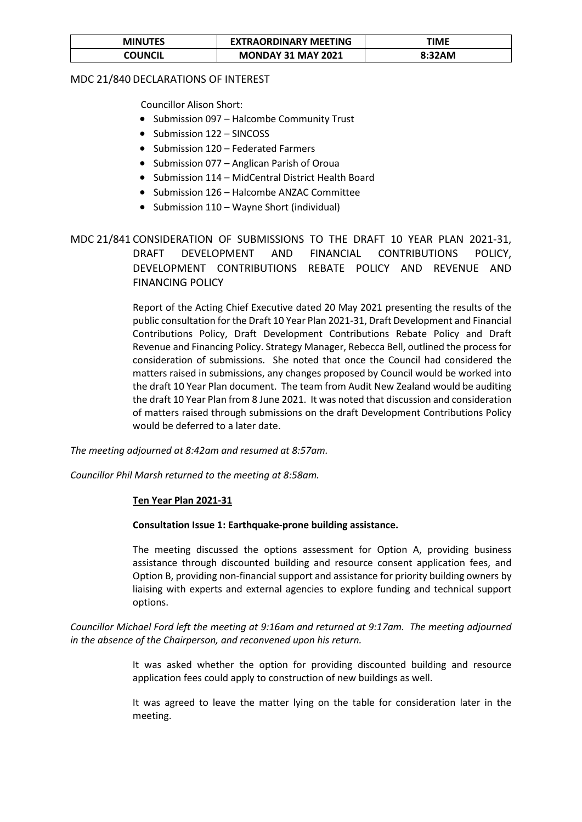| <b>MINUTES</b> | <b>EXTRAORDINARY MEETING</b> | ΓΙΜΕ   |
|----------------|------------------------------|--------|
| COUNCIL        | <b>MONDAY 31 MAY 2021</b>    | 8:32AM |

# MDC 21/840 DECLARATIONS OF INTEREST

Councillor Alison Short:

- Submission 097 Halcombe Community Trust
- Submission 122 SINCOSS
- Submission 120 Federated Farmers
- Submission 077 Anglican Parish of Oroua
- Submission 114 MidCentral District Health Board
- Submission 126 Halcombe ANZAC Committee
- Submission 110 Wayne Short (individual)

# MDC 21/841 CONSIDERATION OF SUBMISSIONS TO THE DRAFT 10 YEAR PLAN 2021-31, DRAFT DEVELOPMENT AND FINANCIAL CONTRIBUTIONS POLICY, DEVELOPMENT CONTRIBUTIONS REBATE POLICY AND REVENUE AND FINANCING POLICY

Report of the Acting Chief Executive dated 20 May 2021 presenting the results of the public consultation for the Draft 10 Year Plan 2021-31, Draft Development and Financial Contributions Policy, Draft Development Contributions Rebate Policy and Draft Revenue and Financing Policy. Strategy Manager, Rebecca Bell, outlined the process for consideration of submissions. She noted that once the Council had considered the matters raised in submissions, any changes proposed by Council would be worked into the draft 10 Year Plan document. The team from Audit New Zealand would be auditing the draft 10 Year Plan from 8 June 2021. It was noted that discussion and consideration of matters raised through submissions on the draft Development Contributions Policy would be deferred to a later date.

*The meeting adjourned at 8:42am and resumed at 8:57am.*

*Councillor Phil Marsh returned to the meeting at 8:58am.*

### **Ten Year Plan 2021-31**

### **Consultation Issue 1: Earthquake-prone building assistance.**

The meeting discussed the options assessment for Option A, providing business assistance through discounted building and resource consent application fees, and Option B, providing non-financial support and assistance for priority building owners by liaising with experts and external agencies to explore funding and technical support options.

*Councillor Michael Ford left the meeting at 9:16am and returned at 9:17am. The meeting adjourned in the absence of the Chairperson, and reconvened upon his return.* 

> It was asked whether the option for providing discounted building and resource application fees could apply to construction of new buildings as well.

> It was agreed to leave the matter lying on the table for consideration later in the meeting.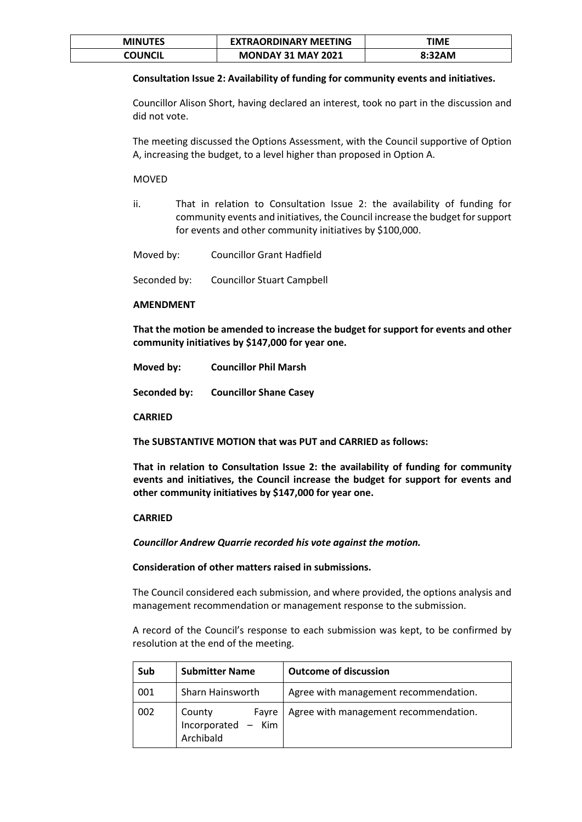| <b>MINUTES</b> | <b>EXTRAORDINARY MEETING</b> | ΓΙΜΕ   |
|----------------|------------------------------|--------|
| COUNCIL        | <b>MONDAY 31 MAY 2021</b>    | 8:32AM |

### **Consultation Issue 2: Availability of funding for community events and initiatives.**

Councillor Alison Short, having declared an interest, took no part in the discussion and did not vote.

The meeting discussed the Options Assessment, with the Council supportive of Option A, increasing the budget, to a level higher than proposed in Option A.

### MOVED

ii. That in relation to Consultation Issue 2: the availability of funding for community events and initiatives, the Council increase the budget for support for events and other community initiatives by \$100,000.

| Moved by: | <b>Councillor Grant Hadfield</b> |
|-----------|----------------------------------|
|-----------|----------------------------------|

Seconded by: Councillor Stuart Campbell

### **AMENDMENT**

**That the motion be amended to increase the budget for support for events and other community initiatives by \$147,000 for year one.**

| Moved by:    | <b>Councillor Phil Marsh</b>  |
|--------------|-------------------------------|
| Seconded by: | <b>Councillor Shane Casey</b> |

**CARRIED**

**The SUBSTANTIVE MOTION that was PUT and CARRIED as follows:**

**That in relation to Consultation Issue 2: the availability of funding for community events and initiatives, the Council increase the budget for support for events and other community initiatives by \$147,000 for year one.**

### **CARRIED**

*Councillor Andrew Quarrie recorded his vote against the motion.*

#### **Consideration of other matters raised in submissions.**

The Council considered each submission, and where provided, the options analysis and management recommendation or management response to the submission.

A record of the Council's response to each submission was kept, to be confirmed by resolution at the end of the meeting.

| Sub | <b>Submitter Name</b>                              | <b>Outcome of discussion</b>          |
|-----|----------------------------------------------------|---------------------------------------|
| 001 | Sharn Hainsworth                                   | Agree with management recommendation. |
| 002 | County<br>Fayre<br>Incorporated - Kim<br>Archibald | Agree with management recommendation. |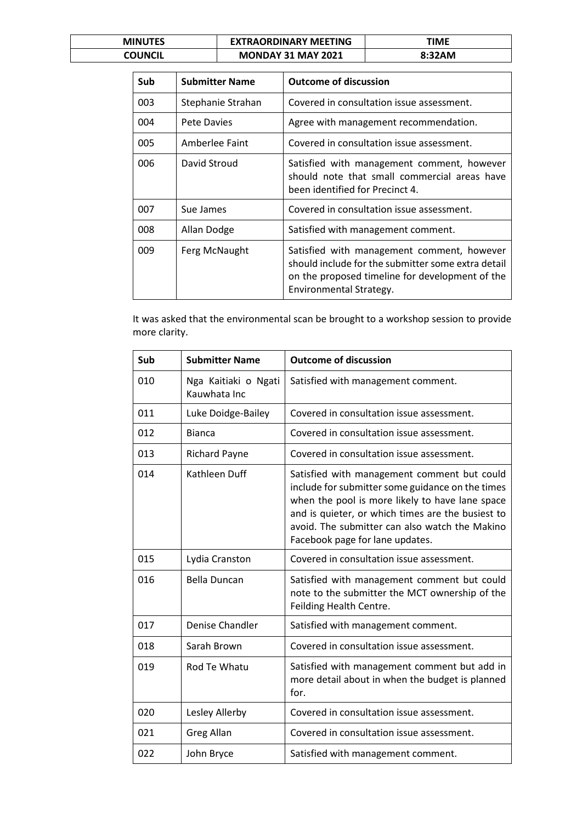| <b>MINUTES</b> | <b>EXTRAORDINARY MEETING</b> | TIME   |
|----------------|------------------------------|--------|
| COUNCIL        | <b>MONDAY 31 MAY 2021</b>    | 8:32AM |

| Sub | <b>Submitter Name</b> | <b>Outcome of discussion</b>                                                                                                                                                   |
|-----|-----------------------|--------------------------------------------------------------------------------------------------------------------------------------------------------------------------------|
| 003 | Stephanie Strahan     | Covered in consultation issue assessment.                                                                                                                                      |
| 004 | Pete Davies           | Agree with management recommendation.                                                                                                                                          |
| 005 | Amberlee Faint        | Covered in consultation issue assessment.                                                                                                                                      |
| 006 | David Stroud          | Satisfied with management comment, however<br>should note that small commercial areas have<br>been identified for Precinct 4.                                                  |
| 007 | Sue James             | Covered in consultation issue assessment.                                                                                                                                      |
| 008 | Allan Dodge           | Satisfied with management comment.                                                                                                                                             |
| 009 | Ferg McNaught         | Satisfied with management comment, however<br>should include for the submitter some extra detail<br>on the proposed timeline for development of the<br>Environmental Strategy. |

It was asked that the environmental scan be brought to a workshop session to provide more clarity.

| Sub | <b>Submitter Name</b>                | <b>Outcome of discussion</b>                                                                                                                                                                                                                                                                 |
|-----|--------------------------------------|----------------------------------------------------------------------------------------------------------------------------------------------------------------------------------------------------------------------------------------------------------------------------------------------|
| 010 | Nga Kaitiaki o Ngati<br>Kauwhata Inc | Satisfied with management comment.                                                                                                                                                                                                                                                           |
| 011 | Luke Doidge-Bailey                   | Covered in consultation issue assessment.                                                                                                                                                                                                                                                    |
| 012 | <b>Bianca</b>                        | Covered in consultation issue assessment.                                                                                                                                                                                                                                                    |
| 013 | <b>Richard Payne</b>                 | Covered in consultation issue assessment.                                                                                                                                                                                                                                                    |
| 014 | Kathleen Duff                        | Satisfied with management comment but could<br>include for submitter some guidance on the times<br>when the pool is more likely to have lane space<br>and is quieter, or which times are the busiest to<br>avoid. The submitter can also watch the Makino<br>Facebook page for lane updates. |
| 015 | Lydia Cranston                       | Covered in consultation issue assessment.                                                                                                                                                                                                                                                    |
| 016 | <b>Bella Duncan</b>                  | Satisfied with management comment but could<br>note to the submitter the MCT ownership of the<br>Feilding Health Centre.                                                                                                                                                                     |
| 017 | Denise Chandler                      | Satisfied with management comment.                                                                                                                                                                                                                                                           |
| 018 | Sarah Brown                          | Covered in consultation issue assessment.                                                                                                                                                                                                                                                    |
| 019 | Rod Te Whatu                         | Satisfied with management comment but add in<br>more detail about in when the budget is planned<br>for.                                                                                                                                                                                      |
| 020 | Lesley Allerby                       | Covered in consultation issue assessment.                                                                                                                                                                                                                                                    |
| 021 | <b>Greg Allan</b>                    | Covered in consultation issue assessment.                                                                                                                                                                                                                                                    |
| 022 | John Bryce                           | Satisfied with management comment.                                                                                                                                                                                                                                                           |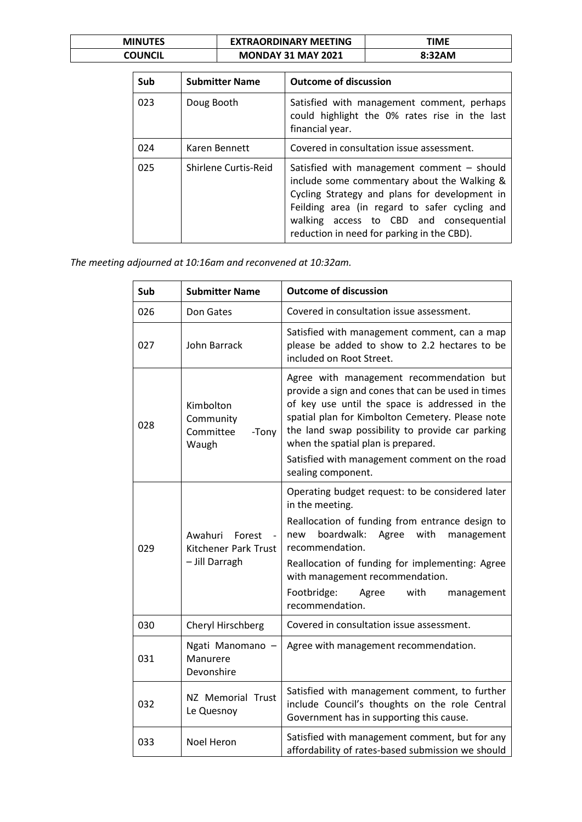| <b>MINUTES</b> | <b>EXTRAORDINARY MEETING</b> | ΓΙΜΕ   |
|----------------|------------------------------|--------|
| COUNCIL        | <b>MONDAY 31 MAY 2021</b>    | 8:32AM |

| Sub | <b>Submitter Name</b> | <b>Outcome of discussion</b>                                                                                                                                                                                                                                                         |
|-----|-----------------------|--------------------------------------------------------------------------------------------------------------------------------------------------------------------------------------------------------------------------------------------------------------------------------------|
| 023 | Doug Booth            | Satisfied with management comment, perhaps<br>could highlight the 0% rates rise in the last<br>financial year.                                                                                                                                                                       |
| 024 | Karen Bennett         | Covered in consultation issue assessment.                                                                                                                                                                                                                                            |
| 025 | Shirlene Curtis-Reid  | Satisfied with management comment - should<br>include some commentary about the Walking &<br>Cycling Strategy and plans for development in<br>Feilding area (in regard to safer cycling and<br>walking access to CBD and consequential<br>reduction in need for parking in the CBD). |

*The meeting adjourned at 10:16am and reconvened at 10:32am.*

| Sub | <b>Submitter Name</b>                                       | <b>Outcome of discussion</b>                                                                                                                                                                                                                                                                                                                         |
|-----|-------------------------------------------------------------|------------------------------------------------------------------------------------------------------------------------------------------------------------------------------------------------------------------------------------------------------------------------------------------------------------------------------------------------------|
| 026 | Don Gates                                                   | Covered in consultation issue assessment.                                                                                                                                                                                                                                                                                                            |
| 027 | John Barrack                                                | Satisfied with management comment, can a map<br>please be added to show to 2.2 hectares to be<br>included on Root Street.                                                                                                                                                                                                                            |
| 028 | Kimbolton<br>Community<br>Committee<br>-Tony<br>Waugh       | Agree with management recommendation but<br>provide a sign and cones that can be used in times<br>of key use until the space is addressed in the<br>spatial plan for Kimbolton Cemetery. Please note<br>the land swap possibility to provide car parking<br>when the spatial plan is prepared.                                                       |
|     |                                                             | Satisfied with management comment on the road<br>sealing component.                                                                                                                                                                                                                                                                                  |
| 029 | Awahuri<br>Forest<br>Kitchener Park Trust<br>- Jill Darragh | Operating budget request: to be considered later<br>in the meeting.<br>Reallocation of funding from entrance design to<br>boardwalk:<br>Agree<br>with<br>new<br>management<br>recommendation.<br>Reallocation of funding for implementing: Agree<br>with management recommendation.<br>Footbridge:<br>Agree<br>with<br>management<br>recommendation. |
| 030 | Cheryl Hirschberg                                           | Covered in consultation issue assessment.                                                                                                                                                                                                                                                                                                            |
| 031 | Ngati Manomano<br>Manurere<br>Devonshire                    | Agree with management recommendation.                                                                                                                                                                                                                                                                                                                |
| 032 | NZ Memorial Trust<br>Le Quesnoy                             | Satisfied with management comment, to further<br>include Council's thoughts on the role Central<br>Government has in supporting this cause.                                                                                                                                                                                                          |
| 033 | Noel Heron                                                  | Satisfied with management comment, but for any<br>affordability of rates-based submission we should                                                                                                                                                                                                                                                  |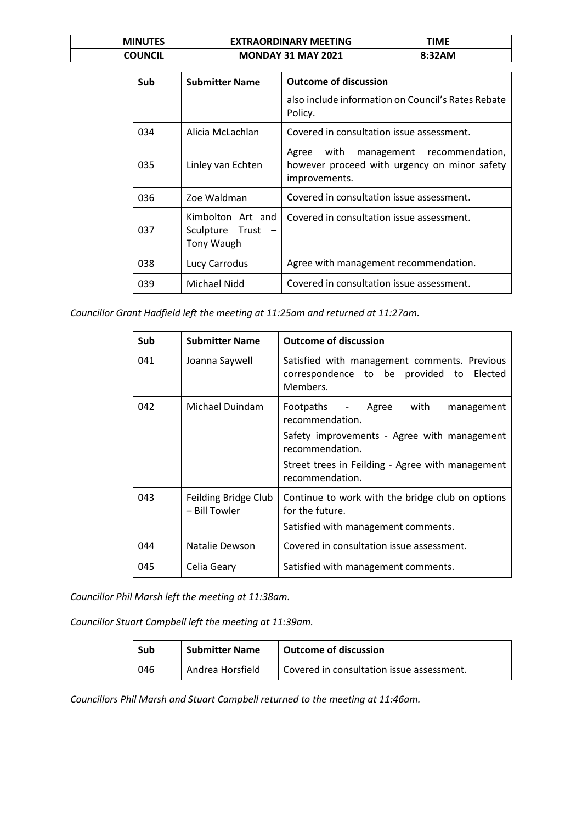| <b>MINUTES</b> | <b>EXTRAORDINARY MEETING</b> | TIME   |
|----------------|------------------------------|--------|
| COUNCIL        | <b>MONDAY 31 MAY 2021</b>    | 8:32AM |

| Sub | <b>Submitter Name</b>                                     | <b>Outcome of discussion</b>                                                                                 |
|-----|-----------------------------------------------------------|--------------------------------------------------------------------------------------------------------------|
|     |                                                           | also include information on Council's Rates Rebate<br>Policy.                                                |
| 034 | Alicia McLachlan                                          | Covered in consultation issue assessment.                                                                    |
| 035 | Linley van Echten                                         | with<br>management recommendation,<br>Agree<br>however proceed with urgency on minor safety<br>improvements. |
| 036 | Zoe Waldman                                               | Covered in consultation issue assessment.                                                                    |
| 037 | Kimbolton Art and<br>Sculpture Trust<br><b>Tony Waugh</b> | Covered in consultation issue assessment.                                                                    |
| 038 | Lucy Carrodus                                             | Agree with management recommendation.                                                                        |
| 039 | Michael Nidd                                              | Covered in consultation issue assessment.                                                                    |

*Councillor Grant Hadfield left the meeting at 11:25am and returned at 11:27am.*

| Sub | <b>Submitter Name</b>                 | <b>Outcome of discussion</b>                                                                                                                                                                     |
|-----|---------------------------------------|--------------------------------------------------------------------------------------------------------------------------------------------------------------------------------------------------|
| 041 | Joanna Saywell                        | Satisfied with management comments. Previous<br>correspondence to be provided to Elected<br>Members.                                                                                             |
| 042 | Michael Duindam                       | Footpaths - Agree with<br>management<br>recommendation.<br>Safety improvements - Agree with management<br>recommendation.<br>Street trees in Feilding - Agree with management<br>recommendation. |
| 043 | Feilding Bridge Club<br>- Bill Towler | Continue to work with the bridge club on options<br>for the future.<br>Satisfied with management comments.                                                                                       |
| 044 | Natalie Dewson                        | Covered in consultation issue assessment.                                                                                                                                                        |
| 045 | Celia Geary                           | Satisfied with management comments.                                                                                                                                                              |

*Councillor Phil Marsh left the meeting at 11:38am.*

*Councillor Stuart Campbell left the meeting at 11:39am.*

| Sub | <b>Submitter Name</b> | Outcome of discussion                     |
|-----|-----------------------|-------------------------------------------|
| 046 | Andrea Horsfield      | Covered in consultation issue assessment. |

*Councillors Phil Marsh and Stuart Campbell returned to the meeting at 11:46am.*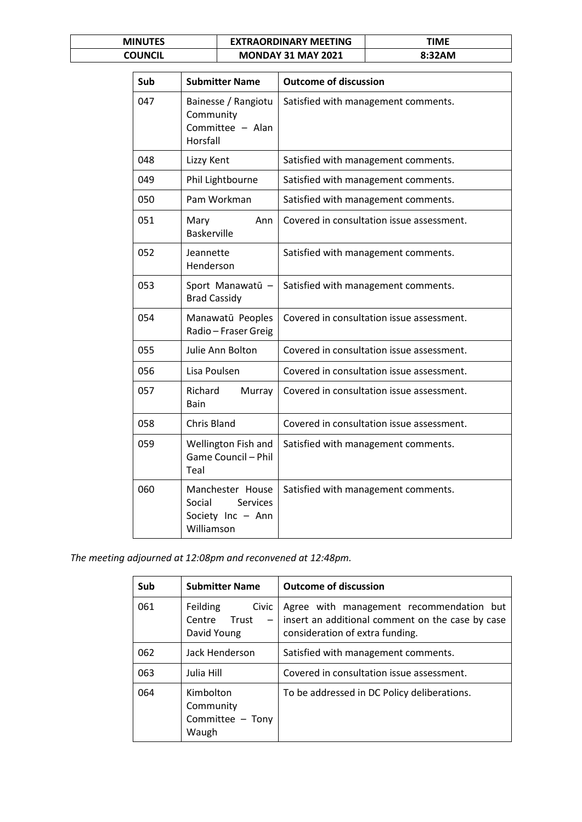| <b>MINUTES</b> | <b>EXTRAORDINARY MEETING</b> | TIME   |
|----------------|------------------------------|--------|
| COUNCIL        | <b>MONDAY 31 MAY 2021</b>    | 8:32AM |

| Sub | <b>Submitter Name</b>                                                     | <b>Outcome of discussion</b>              |
|-----|---------------------------------------------------------------------------|-------------------------------------------|
| 047 | Bainesse / Rangiotu<br>Community<br>Committee - Alan<br>Horsfall          | Satisfied with management comments.       |
| 048 | Lizzy Kent                                                                | Satisfied with management comments.       |
| 049 | Phil Lightbourne                                                          | Satisfied with management comments.       |
| 050 | Pam Workman                                                               | Satisfied with management comments.       |
| 051 | Mary<br>Ann<br><b>Baskerville</b>                                         | Covered in consultation issue assessment. |
| 052 | Jeannette<br>Henderson                                                    | Satisfied with management comments.       |
| 053 | Sport Manawatū -<br><b>Brad Cassidy</b>                                   | Satisfied with management comments.       |
| 054 | Manawatū Peoples<br>Radio - Fraser Greig                                  | Covered in consultation issue assessment. |
| 055 | Julie Ann Bolton                                                          | Covered in consultation issue assessment. |
| 056 | Lisa Poulsen                                                              | Covered in consultation issue assessment. |
| 057 | Richard<br>Murray<br>Bain                                                 | Covered in consultation issue assessment. |
| 058 | Chris Bland                                                               | Covered in consultation issue assessment. |
| 059 | Wellington Fish and<br>Game Council - Phil<br>Teal                        | Satisfied with management comments.       |
| 060 | Manchester House<br>Social<br>Services<br>Society Inc - Ann<br>Williamson | Satisfied with management comments.       |

*The meeting adjourned at 12:08pm and reconvened at 12:48pm.*

| Sub | <b>Submitter Name</b>                               | <b>Outcome of discussion</b>                                                                                                    |
|-----|-----------------------------------------------------|---------------------------------------------------------------------------------------------------------------------------------|
| 061 | Feilding<br>Civic<br>Centre Trust<br>David Young    | Agree with management recommendation but<br>insert an additional comment on the case by case<br>consideration of extra funding. |
| 062 | Jack Henderson                                      | Satisfied with management comments.                                                                                             |
| 063 | Julia Hill                                          | Covered in consultation issue assessment.                                                                                       |
| 064 | Kimbolton<br>Community<br>Committee - Tony<br>Waugh | To be addressed in DC Policy deliberations.                                                                                     |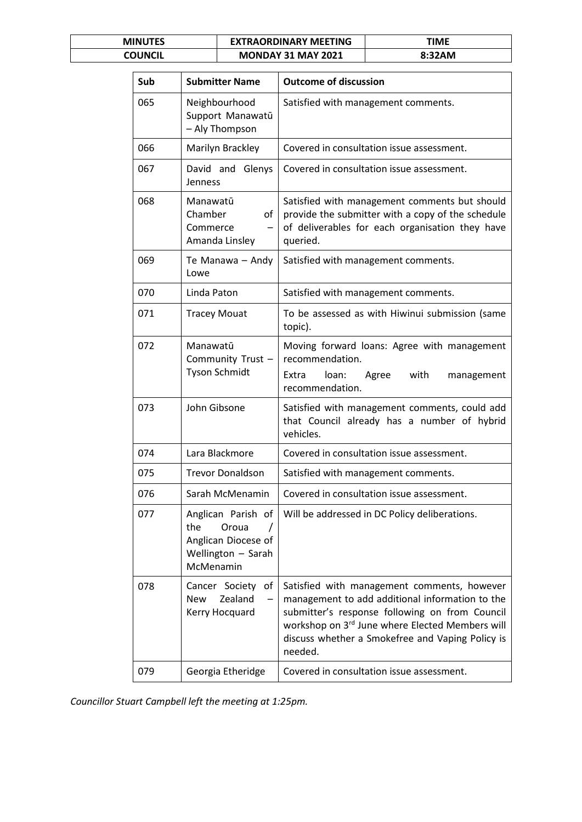| <b>MINUTES</b> | <b>EXTRAORDINARY MEETING</b> | ΓΙΜΕ   |
|----------------|------------------------------|--------|
| COUNCIL        | <b>MONDAY 31 MAY 2021</b>    | 8:32AM |

| Sub | <b>Submitter Name</b>                                                                        | <b>Outcome of discussion</b>                                                                                                                                                                                                                                       |
|-----|----------------------------------------------------------------------------------------------|--------------------------------------------------------------------------------------------------------------------------------------------------------------------------------------------------------------------------------------------------------------------|
| 065 | Neighbourhood<br>Support Manawatū<br>- Aly Thompson                                          | Satisfied with management comments.                                                                                                                                                                                                                                |
| 066 | Marilyn Brackley                                                                             | Covered in consultation issue assessment.                                                                                                                                                                                                                          |
| 067 | David and Glenys<br>Jenness                                                                  | Covered in consultation issue assessment.                                                                                                                                                                                                                          |
| 068 | Manawatū<br>Chamber<br>of<br>Commerce<br>Amanda Linsley                                      | Satisfied with management comments but should<br>provide the submitter with a copy of the schedule<br>of deliverables for each organisation they have<br>queried.                                                                                                  |
| 069 | Te Manawa - Andy<br>Lowe                                                                     | Satisfied with management comments.                                                                                                                                                                                                                                |
| 070 | Linda Paton                                                                                  | Satisfied with management comments.                                                                                                                                                                                                                                |
| 071 | <b>Tracey Mouat</b>                                                                          | To be assessed as with Hiwinui submission (same<br>topic).                                                                                                                                                                                                         |
| 072 | Manawatū<br>Community Trust -<br><b>Tyson Schmidt</b>                                        | Moving forward loans: Agree with management<br>recommendation.<br>Extra<br>loan:<br>Agree<br>with<br>management<br>recommendation.                                                                                                                                 |
| 073 | John Gibsone                                                                                 | Satisfied with management comments, could add<br>that Council already has a number of hybrid<br>vehicles.                                                                                                                                                          |
| 074 | Lara Blackmore                                                                               | Covered in consultation issue assessment.                                                                                                                                                                                                                          |
| 075 | <b>Trevor Donaldson</b>                                                                      | Satisfied with management comments.                                                                                                                                                                                                                                |
| 076 | Sarah McMenamin                                                                              | Covered in consultation issue assessment.                                                                                                                                                                                                                          |
| 077 | Anglican Parish of<br>the<br>Oroua<br>Anglican Diocese of<br>Wellington - Sarah<br>McMenamin | Will be addressed in DC Policy deliberations.                                                                                                                                                                                                                      |
| 078 | Cancer Society<br>of<br>Zealand<br><b>New</b><br>$\overline{\phantom{0}}$<br>Kerry Hocquard  | Satisfied with management comments, however<br>management to add additional information to the<br>submitter's response following on from Council<br>workshop on 3rd June where Elected Members will<br>discuss whether a Smokefree and Vaping Policy is<br>needed. |
| 079 | Georgia Etheridge                                                                            | Covered in consultation issue assessment.                                                                                                                                                                                                                          |

*Councillor Stuart Campbell left the meeting at 1:25pm.*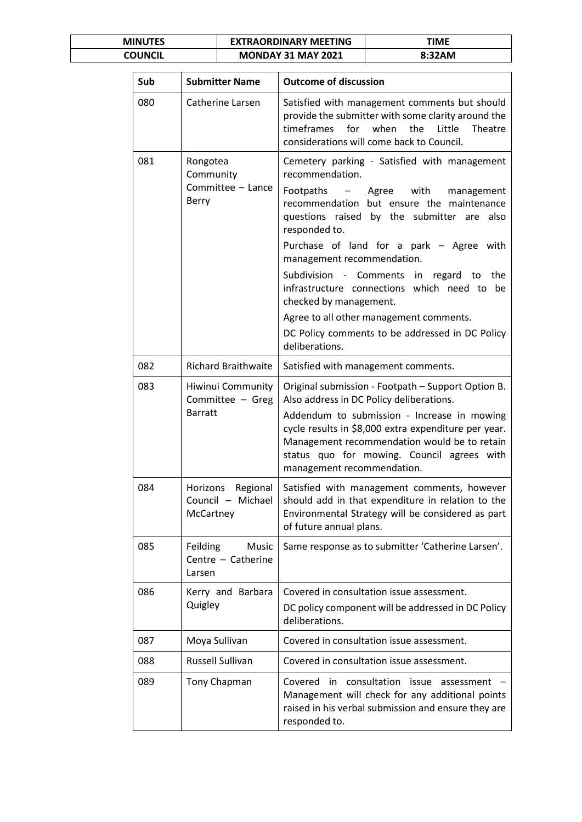| <b>MINUTES</b> | <b>EXTRAORDINARY MEETING</b> | ΓΙΜΕ   |
|----------------|------------------------------|--------|
| COUNCIL        | <b>MONDAY 31 MAY 2021</b>    | 8:32AM |

| Sub | <b>Submitter Name</b>                                    | <b>Outcome of discussion</b>                                                                                                                                                                                                                                                                                                                                                                                                                                                                                                            |  |
|-----|----------------------------------------------------------|-----------------------------------------------------------------------------------------------------------------------------------------------------------------------------------------------------------------------------------------------------------------------------------------------------------------------------------------------------------------------------------------------------------------------------------------------------------------------------------------------------------------------------------------|--|
| 080 | Catherine Larsen                                         | Satisfied with management comments but should<br>provide the submitter with some clarity around the<br>for when<br>timeframes<br>the<br>Little<br>Theatre<br>considerations will come back to Council.                                                                                                                                                                                                                                                                                                                                  |  |
| 081 | Rongotea<br>Community<br>Committee - Lance<br>Berry      | Cemetery parking - Satisfied with management<br>recommendation.<br>Footpaths<br>– Agree with<br>management<br>recommendation but ensure the maintenance<br>questions raised by the submitter are also<br>responded to.<br>Purchase of land for a park - Agree with<br>management recommendation.<br>Subdivision - Comments in regard to the<br>infrastructure connections which need to<br>be<br>checked by management.<br>Agree to all other management comments.<br>DC Policy comments to be addressed in DC Policy<br>deliberations. |  |
| 082 | <b>Richard Braithwaite</b>                               | Satisfied with management comments.                                                                                                                                                                                                                                                                                                                                                                                                                                                                                                     |  |
| 083 | Hiwinui Community<br>Committee - Greg<br><b>Barratt</b>  | Original submission - Footpath - Support Option B.<br>Also address in DC Policy deliberations.<br>Addendum to submission - Increase in mowing<br>cycle results in \$8,000 extra expenditure per year.<br>Management recommendation would be to retain<br>status quo for mowing. Council agrees with<br>management recommendation.                                                                                                                                                                                                       |  |
| 084 | Regional<br>Horizons<br>Council - Michael<br>McCartney   | Satisfied with management comments, however<br>should add in that expenditure in relation to the<br>Environmental Strategy will be considered as part<br>of future annual plans.                                                                                                                                                                                                                                                                                                                                                        |  |
| 085 | Music<br><b>Feilding</b><br>Centre - Catherine<br>Larsen | Same response as to submitter 'Catherine Larsen'.                                                                                                                                                                                                                                                                                                                                                                                                                                                                                       |  |
| 086 | Kerry and Barbara<br>Quigley                             | Covered in consultation issue assessment.<br>DC policy component will be addressed in DC Policy<br>deliberations.                                                                                                                                                                                                                                                                                                                                                                                                                       |  |
| 087 | Moya Sullivan                                            | Covered in consultation issue assessment.                                                                                                                                                                                                                                                                                                                                                                                                                                                                                               |  |
| 088 | Russell Sullivan                                         | Covered in consultation issue assessment.                                                                                                                                                                                                                                                                                                                                                                                                                                                                                               |  |
| 089 | Tony Chapman                                             | Covered<br>consultation<br>in<br>issue<br>assessment<br>Management will check for any additional points<br>raised in his verbal submission and ensure they are<br>responded to.                                                                                                                                                                                                                                                                                                                                                         |  |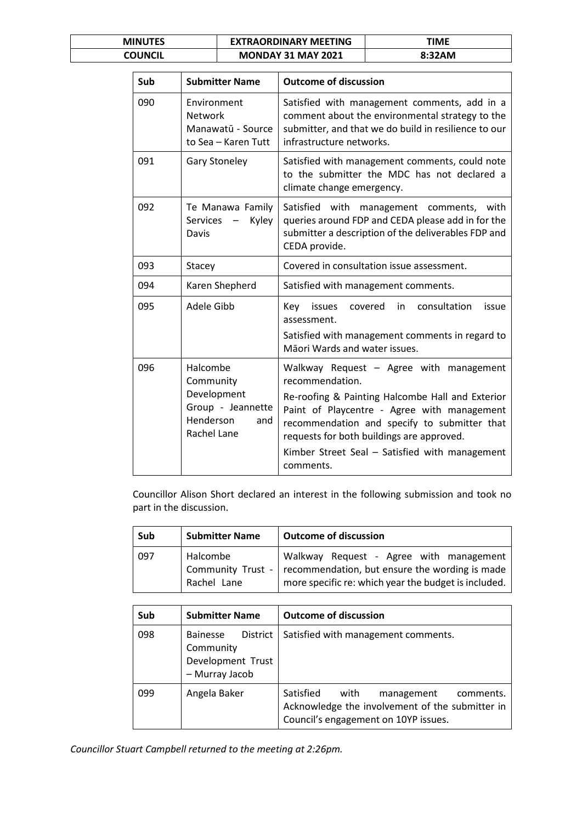| <b>MINUTES</b> | <b>EXTRAORDINARY MEETING</b> | ΓΙΜΕ   |
|----------------|------------------------------|--------|
| COUNCIL        | <b>MONDAY 31 MAY 2021</b>    | 8:32AM |

| Sub | <b>Submitter Name</b>                                                                        | <b>Outcome of discussion</b>                                                                                                                                                                                                                                                                                              |
|-----|----------------------------------------------------------------------------------------------|---------------------------------------------------------------------------------------------------------------------------------------------------------------------------------------------------------------------------------------------------------------------------------------------------------------------------|
| 090 | Environment<br><b>Network</b><br>Manawatū - Source<br>to Sea - Karen Tutt                    | Satisfied with management comments, add in a<br>comment about the environmental strategy to the<br>submitter, and that we do build in resilience to our<br>infrastructure networks.                                                                                                                                       |
| 091 | <b>Gary Stoneley</b>                                                                         | Satisfied with management comments, could note<br>to the submitter the MDC has not declared a<br>climate change emergency.                                                                                                                                                                                                |
| 092 | Te Manawa Family<br>Services<br>Kyley<br>$\overline{\phantom{m}}$<br>Davis                   | Satisfied with<br>management comments, with<br>queries around FDP and CEDA please add in for the<br>submitter a description of the deliverables FDP and<br>CEDA provide.                                                                                                                                                  |
| 093 | Stacey                                                                                       | Covered in consultation issue assessment.                                                                                                                                                                                                                                                                                 |
| 094 | Karen Shepherd                                                                               | Satisfied with management comments.                                                                                                                                                                                                                                                                                       |
| 095 | Adele Gibb                                                                                   | consultation<br>issues<br>covered<br>in<br>issue<br>Key<br>assessment.<br>Satisfied with management comments in regard to<br>Māori Wards and water issues.                                                                                                                                                                |
| 096 | Halcombe<br>Community<br>Development<br>Group - Jeannette<br>Henderson<br>and<br>Rachel Lane | Walkway Request - Agree with management<br>recommendation.<br>Re-roofing & Painting Halcombe Hall and Exterior<br>Paint of Playcentre - Agree with management<br>recommendation and specify to submitter that<br>requests for both buildings are approved.<br>Kimber Street Seal - Satisfied with management<br>comments. |

Councillor Alison Short declared an interest in the following submission and took no part in the discussion.

| Sub | <b>Submitter Name</b>                        | <b>Outcome of discussion</b>                                                                                                                      |
|-----|----------------------------------------------|---------------------------------------------------------------------------------------------------------------------------------------------------|
| 097 | Halcombe<br>Community Trust -<br>Rachel Lane | Walkway Request - Agree with management<br>recommendation, but ensure the wording is made<br>more specific re: which year the budget is included. |

| Sub | <b>Submitter Name</b>                                                           | <b>Outcome of discussion</b>                                                                                                            |
|-----|---------------------------------------------------------------------------------|-----------------------------------------------------------------------------------------------------------------------------------------|
| 098 | <b>District</b><br>Bainesse<br>Community<br>Development Trust<br>- Murray Jacob | Satisfied with management comments.                                                                                                     |
| 099 | Angela Baker                                                                    | Satisfied<br>with<br>comments.<br>management<br>Acknowledge the involvement of the submitter in<br>Council's engagement on 10YP issues. |

*Councillor Stuart Campbell returned to the meeting at 2:26pm.*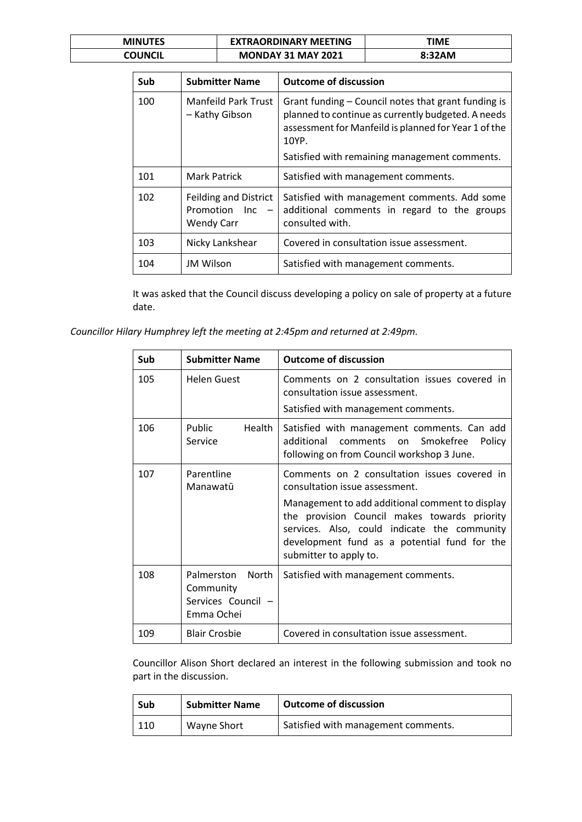| <b>MINUTES</b> | <b>EXTRAORDINARY MEETING</b> | TIME   |
|----------------|------------------------------|--------|
| COUNCIL        | <b>MONDAY 31 MAY 2021</b>    | 8:32AM |

| Sub | <b>Submitter Name</b>                                              | <b>Outcome of discussion</b>                                                                                                                                               |
|-----|--------------------------------------------------------------------|----------------------------------------------------------------------------------------------------------------------------------------------------------------------------|
| 100 | Manfeild Park Trust<br>- Kathy Gibson                              | Grant funding – Council notes that grant funding is<br>planned to continue as currently budgeted. A needs<br>assessment for Manfeild is planned for Year 1 of the<br>10YP. |
|     |                                                                    | Satisfied with remaining management comments.                                                                                                                              |
| 101 | Mark Patrick                                                       | Satisfied with management comments.                                                                                                                                        |
| 102 | <b>Feilding and District</b><br>Promotion Inc<br><b>Wendy Carr</b> | Satisfied with management comments. Add some<br>additional comments in regard to the groups<br>consulted with.                                                             |
| 103 | Nicky Lankshear                                                    | Covered in consultation issue assessment.                                                                                                                                  |
| 104 | <b>JM Wilson</b>                                                   | Satisfied with management comments.                                                                                                                                        |

It was asked that the Council discuss developing a policy on sale of property at a future date.

*Councillor Hilary Humphrey left the meeting at 2:45pm and returned at 2:49pm.*

| Sub | <b>Submitter Name</b>                                              | <b>Outcome of discussion</b>                                                                                                                                                                                                                                                                                |
|-----|--------------------------------------------------------------------|-------------------------------------------------------------------------------------------------------------------------------------------------------------------------------------------------------------------------------------------------------------------------------------------------------------|
| 105 | Helen Guest                                                        | Comments on 2 consultation issues covered in<br>consultation issue assessment.<br>Satisfied with management comments.                                                                                                                                                                                       |
| 106 | Health<br>Public<br>Service                                        | Satisfied with management comments. Can add<br>additional comments on Smokefree<br>Policy<br>following on from Council workshop 3 June.                                                                                                                                                                     |
| 107 | Parentline<br>Manawatū                                             | Comments on 2 consultation issues covered in<br>consultation issue assessment.<br>Management to add additional comment to display<br>the provision Council makes towards priority<br>services. Also, could indicate the community<br>development fund as a potential fund for the<br>submitter to apply to. |
| 108 | Palmerston<br>North<br>Community<br>Services Council<br>Emma Ochei | Satisfied with management comments.                                                                                                                                                                                                                                                                         |
| 109 | <b>Blair Crosbie</b>                                               | Covered in consultation issue assessment.                                                                                                                                                                                                                                                                   |

Councillor Alison Short declared an interest in the following submission and took no part in the discussion.

| Sub | <b>Submitter Name</b> | <b>Outcome of discussion</b>        |
|-----|-----------------------|-------------------------------------|
| 110 | Wayne Short           | Satisfied with management comments. |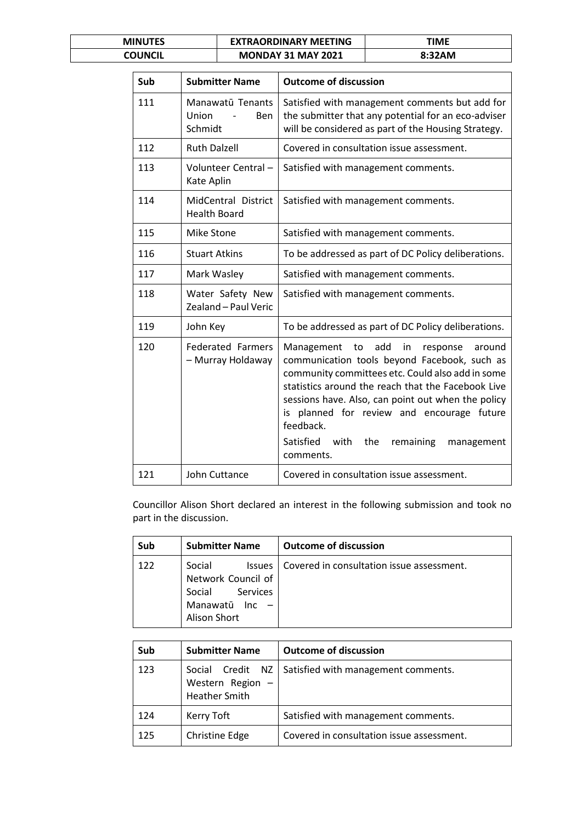| <b>MINUTES</b> | <b>EXTRAORDINARY MEETING</b> | ΓΙΜΕ   |
|----------------|------------------------------|--------|
| COUNCIL        | <b>MONDAY 31 MAY 2021</b>    | 8:32AM |

| Sub | <b>Submitter Name</b>                              | <b>Outcome of discussion</b>                                                                                                                                                                                                                                                                                                                                                                          |
|-----|----------------------------------------------------|-------------------------------------------------------------------------------------------------------------------------------------------------------------------------------------------------------------------------------------------------------------------------------------------------------------------------------------------------------------------------------------------------------|
| 111 | Manawatū Tenants<br>Union<br><b>Ben</b><br>Schmidt | Satisfied with management comments but add for<br>the submitter that any potential for an eco-adviser<br>will be considered as part of the Housing Strategy.                                                                                                                                                                                                                                          |
| 112 | <b>Ruth Dalzell</b>                                | Covered in consultation issue assessment.                                                                                                                                                                                                                                                                                                                                                             |
| 113 | Volunteer Central-<br>Kate Aplin                   | Satisfied with management comments.                                                                                                                                                                                                                                                                                                                                                                   |
| 114 | MidCentral District<br><b>Health Board</b>         | Satisfied with management comments.                                                                                                                                                                                                                                                                                                                                                                   |
| 115 | Mike Stone                                         | Satisfied with management comments.                                                                                                                                                                                                                                                                                                                                                                   |
| 116 | <b>Stuart Atkins</b>                               | To be addressed as part of DC Policy deliberations.                                                                                                                                                                                                                                                                                                                                                   |
| 117 | Mark Wasley                                        | Satisfied with management comments.                                                                                                                                                                                                                                                                                                                                                                   |
| 118 | Water Safety New<br>Zealand - Paul Veric           | Satisfied with management comments.                                                                                                                                                                                                                                                                                                                                                                   |
| 119 | John Key                                           | To be addressed as part of DC Policy deliberations.                                                                                                                                                                                                                                                                                                                                                   |
| 120 | <b>Federated Farmers</b><br>- Murray Holdaway      | add<br>Management<br>to<br>in<br>response<br>around<br>communication tools beyond Facebook, such as<br>community committees etc. Could also add in some<br>statistics around the reach that the Facebook Live<br>sessions have. Also, can point out when the policy<br>planned for review and encourage future<br>is<br>feedback.<br>Satisfied<br>with<br>the<br>remaining<br>management<br>comments. |
| 121 | John Cuttance                                      | Covered in consultation issue assessment.                                                                                                                                                                                                                                                                                                                                                             |

Councillor Alison Short declared an interest in the following submission and took no part in the discussion.

| Sub | <b>Submitter Name</b>                                                                                 | <b>Outcome of discussion</b>              |
|-----|-------------------------------------------------------------------------------------------------------|-------------------------------------------|
| 122 | Social<br><b>Issues</b><br>Network Council of<br>Services<br>Social<br>Manawatū Inc -<br>Alison Short | Covered in consultation issue assessment. |

| Sub | <b>Submitter Name</b>                  | <b>Outcome of discussion</b>                           |
|-----|----------------------------------------|--------------------------------------------------------|
| 123 | Western Region<br><b>Heather Smith</b> | Social Credit NZ   Satisfied with management comments. |
| 124 | Kerry Toft                             | Satisfied with management comments.                    |
| 125 | Christine Edge                         | Covered in consultation issue assessment.              |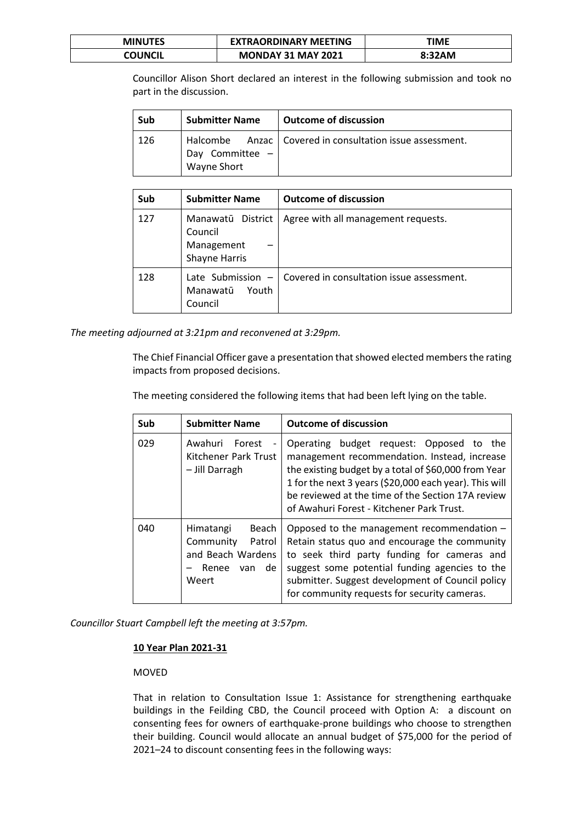| <b>MINUTES</b> | <b>EXTRAORDINARY MEETING</b> | TIME   |
|----------------|------------------------------|--------|
| COUNCIL        | <b>MONDAY 31 MAY 2021</b>    | 8:32AM |

Councillor Alison Short declared an interest in the following submission and took no part in the discussion.

| Sub  | <b>Submitter Name</b>          | <b>Outcome of discussion</b>                               |
|------|--------------------------------|------------------------------------------------------------|
| -126 | Day Committee -<br>Wayne Short | Halcombe Anzac   Covered in consultation issue assessment. |

| Sub | <b>Submitter Name</b>                                       | <b>Outcome of discussion</b>              |
|-----|-------------------------------------------------------------|-------------------------------------------|
| 127 | Manawatū District<br>Council<br>Management<br>Shayne Harris | Agree with all management requests.       |
| 128 | Late Submission $-$<br>Manawatū<br>Youth<br>Council         | Covered in consultation issue assessment. |

*The meeting adjourned at 3:21pm and reconvened at 3:29pm.*

The Chief Financial Officer gave a presentation that showed elected members the rating impacts from proposed decisions.

The meeting considered the following items that had been left lying on the table.

| Sub | <b>Submitter Name</b>                                                                      | <b>Outcome of discussion</b>                                                                                                                                                                                                                                                                                 |
|-----|--------------------------------------------------------------------------------------------|--------------------------------------------------------------------------------------------------------------------------------------------------------------------------------------------------------------------------------------------------------------------------------------------------------------|
| 029 | Awahuri<br>Forest<br>Kitchener Park Trust<br>- Jill Darragh                                | Operating budget request: Opposed to the<br>management recommendation. Instead, increase<br>the existing budget by a total of \$60,000 from Year<br>1 for the next 3 years (\$20,000 each year). This will<br>be reviewed at the time of the Section 17A review<br>of Awahuri Forest - Kitchener Park Trust. |
| 040 | Beach<br>Himatangi<br>Community<br>Patrol<br>and Beach Wardens<br>van de<br>Renee<br>Weert | Opposed to the management recommendation -<br>Retain status quo and encourage the community<br>to seek third party funding for cameras and<br>suggest some potential funding agencies to the<br>submitter. Suggest development of Council policy<br>for community requests for security cameras.             |

*Councillor Stuart Campbell left the meeting at 3:57pm.*

# **10 Year Plan 2021-31**

# MOVED

That in relation to Consultation Issue 1: Assistance for strengthening earthquake buildings in the Feilding CBD, the Council proceed with Option A: a discount on consenting fees for owners of earthquake-prone buildings who choose to strengthen their building. Council would allocate an annual budget of \$75,000 for the period of 2021–24 to discount consenting fees in the following ways: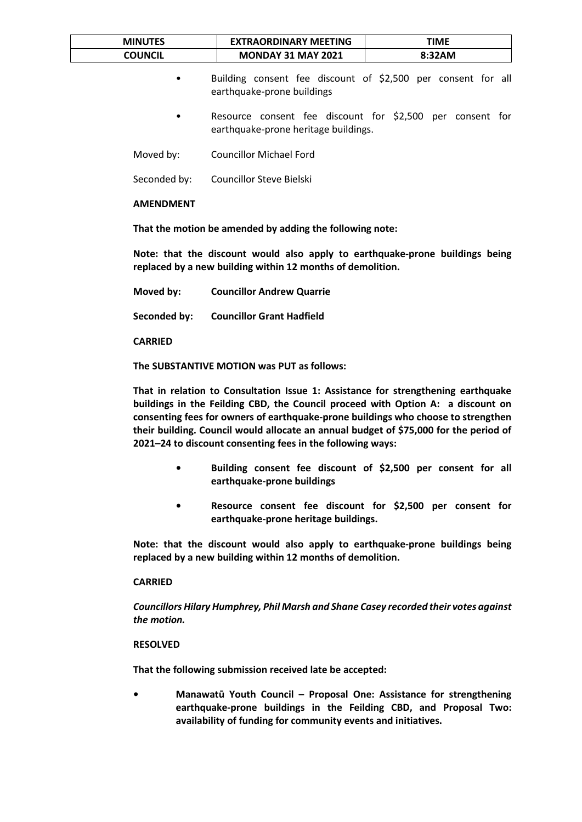| <b>MINUTES</b> | <b>EXTRAORDINARY MEETING</b> | TIME   |
|----------------|------------------------------|--------|
| COUNCIL        | <b>MONDAY 31 MAY 2021</b>    | 8:32AM |

- Building consent fee discount of \$2,500 per consent for all earthquake-prone buildings
- Resource consent fee discount for \$2,500 per consent for earthquake-prone heritage buildings.

Moved by: Councillor Michael Ford

Seconded by: Councillor Steve Bielski

**AMENDMENT**

**That the motion be amended by adding the following note:**

**Note: that the discount would also apply to earthquake-prone buildings being replaced by a new building within 12 months of demolition.** 

**Moved by: Councillor Andrew Quarrie**

**Seconded by: Councillor Grant Hadfield**

**CARRIED**

**The SUBSTANTIVE MOTION was PUT as follows:**

**That in relation to Consultation Issue 1: Assistance for strengthening earthquake buildings in the Feilding CBD, the Council proceed with Option A: a discount on consenting fees for owners of earthquake-prone buildings who choose to strengthen their building. Council would allocate an annual budget of \$75,000 for the period of 2021–24 to discount consenting fees in the following ways:**

- **• Building consent fee discount of \$2,500 per consent for all earthquake-prone buildings**
- **• Resource consent fee discount for \$2,500 per consent for earthquake-prone heritage buildings.**

**Note: that the discount would also apply to earthquake-prone buildings being replaced by a new building within 12 months of demolition.** 

### **CARRIED**

*Councillors Hilary Humphrey, Phil Marsh and Shane Casey recorded their votes against the motion.*

#### **RESOLVED**

**That the following submission received late be accepted:**

**• Manawatū Youth Council – Proposal One: Assistance for strengthening earthquake-prone buildings in the Feilding CBD, and Proposal Two: availability of funding for community events and initiatives.**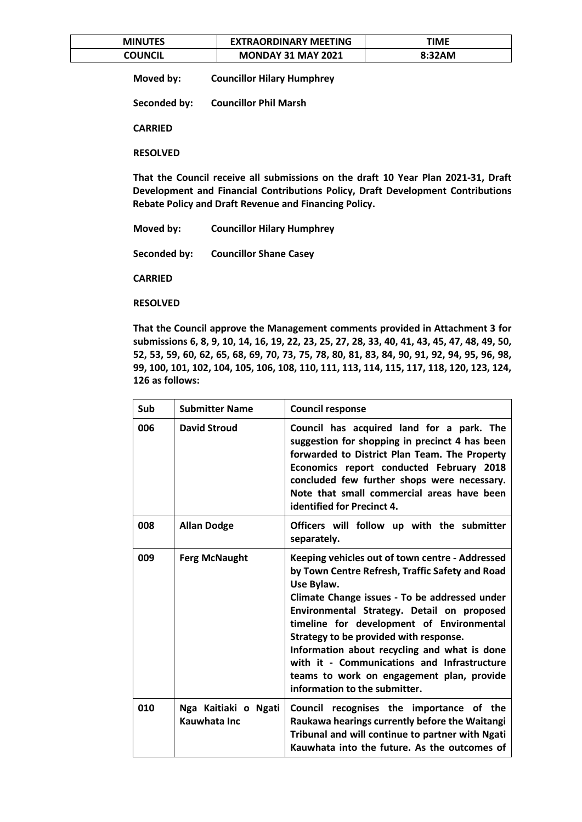| <b>MINUTES</b> | <b>EXTRAORDINARY MEETING</b> | TIME   |
|----------------|------------------------------|--------|
| COUNCIL        | <b>MONDAY 31 MAY 2021</b>    | 8:32AM |

**Moved by: Councillor Hilary Humphrey**

**Seconded by: Councillor Phil Marsh**

**CARRIED**

**RESOLVED**

**That the Council receive all submissions on the draft 10 Year Plan 2021-31, Draft Development and Financial Contributions Policy, Draft Development Contributions Rebate Policy and Draft Revenue and Financing Policy.**

**Moved by: Councillor Hilary Humphrey**

**Seconded by: Councillor Shane Casey**

**CARRIED**

**RESOLVED**

**That the Council approve the Management comments provided in Attachment 3 for submissions 6, 8, 9, 10, 14, 16, 19, 22, 23, 25, 27, 28, 33, 40, 41, 43, 45, 47, 48, 49, 50, 52, 53, 59, 60, 62, 65, 68, 69, 70, 73, 75, 78, 80, 81, 83, 84, 90, 91, 92, 94, 95, 96, 98, 99, 100, 101, 102, 104, 105, 106, 108, 110, 111, 113, 114, 115, 117, 118, 120, 123, 124, 126 as follows:**

| Sub | <b>Submitter Name</b>                | <b>Council response</b>                                                                                                                                                                                                                                                                                                                                                                                                                                                             |
|-----|--------------------------------------|-------------------------------------------------------------------------------------------------------------------------------------------------------------------------------------------------------------------------------------------------------------------------------------------------------------------------------------------------------------------------------------------------------------------------------------------------------------------------------------|
| 006 | <b>David Stroud</b>                  | Council has acquired land for a park. The<br>suggestion for shopping in precinct 4 has been<br>forwarded to District Plan Team. The Property<br>Economics report conducted February 2018<br>concluded few further shops were necessary.<br>Note that small commercial areas have been<br>identified for Precinct 4.                                                                                                                                                                 |
| 008 | <b>Allan Dodge</b>                   | Officers will follow up with the submitter<br>separately.                                                                                                                                                                                                                                                                                                                                                                                                                           |
| 009 | <b>Ferg McNaught</b>                 | Keeping vehicles out of town centre - Addressed<br>by Town Centre Refresh, Traffic Safety and Road<br>Use Bylaw.<br>Climate Change issues - To be addressed under<br>Environmental Strategy. Detail on proposed<br>timeline for development of Environmental<br>Strategy to be provided with response.<br>Information about recycling and what is done<br>with it - Communications and Infrastructure<br>teams to work on engagement plan, provide<br>information to the submitter. |
| 010 | Nga Kaitiaki o Ngati<br>Kauwhata Inc | Council recognises the importance of the<br>Raukawa hearings currently before the Waitangi<br>Tribunal and will continue to partner with Ngati<br>Kauwhata into the future. As the outcomes of                                                                                                                                                                                                                                                                                      |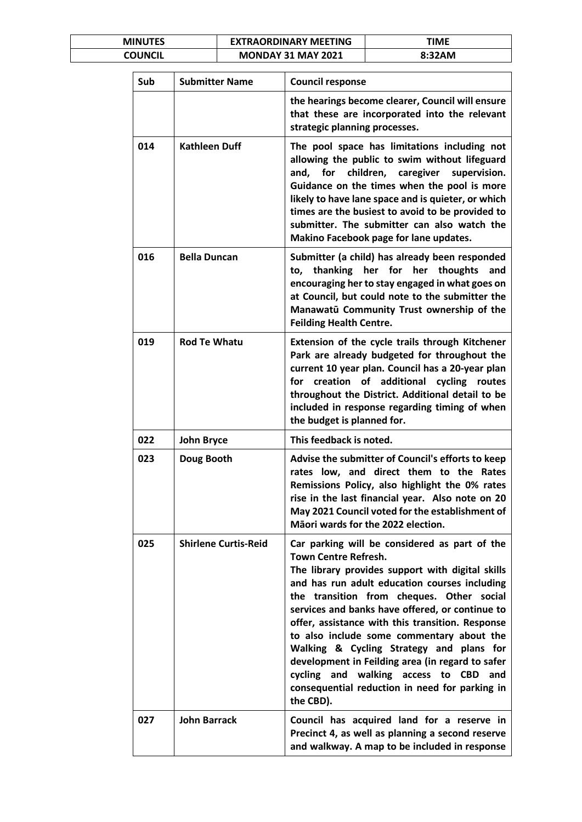| <b>MINUTES</b> | <b>EXTRAORDINARY MEETING</b> | TIME   |
|----------------|------------------------------|--------|
| COUNCIL        | <b>MONDAY 31 MAY 2021</b>    | 8:32AM |

| Sub | <b>Submitter Name</b>       | <b>Council response</b>                                                                                                                                                                                                                                                                                                                                                                                                                                                                                                                                                                                 |
|-----|-----------------------------|---------------------------------------------------------------------------------------------------------------------------------------------------------------------------------------------------------------------------------------------------------------------------------------------------------------------------------------------------------------------------------------------------------------------------------------------------------------------------------------------------------------------------------------------------------------------------------------------------------|
|     |                             | the hearings become clearer, Council will ensure<br>that these are incorporated into the relevant<br>strategic planning processes.                                                                                                                                                                                                                                                                                                                                                                                                                                                                      |
| 014 | <b>Kathleen Duff</b>        | The pool space has limitations including not<br>allowing the public to swim without lifeguard<br>and, for children, caregiver<br>supervision.<br>Guidance on the times when the pool is more<br>likely to have lane space and is quieter, or which<br>times are the busiest to avoid to be provided to<br>submitter. The submitter can also watch the<br>Makino Facebook page for lane updates.                                                                                                                                                                                                         |
| 016 | <b>Bella Duncan</b>         | Submitter (a child) has already been responded<br>thanking her for her thoughts<br>and<br>to,<br>encouraging her to stay engaged in what goes on<br>at Council, but could note to the submitter the<br>Manawatū Community Trust ownership of the<br><b>Feilding Health Centre.</b>                                                                                                                                                                                                                                                                                                                      |
| 019 | <b>Rod Te Whatu</b>         | Extension of the cycle trails through Kitchener<br>Park are already budgeted for throughout the<br>current 10 year plan. Council has a 20-year plan<br>creation of additional cycling routes<br>for<br>throughout the District. Additional detail to be<br>included in response regarding timing of when<br>the budget is planned for.                                                                                                                                                                                                                                                                  |
| 022 | <b>John Bryce</b>           | This feedback is noted.                                                                                                                                                                                                                                                                                                                                                                                                                                                                                                                                                                                 |
| 023 | Doug Booth                  | Advise the submitter of Council's efforts to keep<br>rates low, and direct them to the Rates<br>Remissions Policy, also highlight the 0% rates<br>rise in the last financial year. Also note on 20<br>May 2021 Council voted for the establishment of<br>Māori wards for the 2022 election.                                                                                                                                                                                                                                                                                                             |
| 025 | <b>Shirlene Curtis-Reid</b> | Car parking will be considered as part of the<br><b>Town Centre Refresh.</b><br>The library provides support with digital skills<br>and has run adult education courses including<br>the transition from cheques. Other social<br>services and banks have offered, or continue to<br>offer, assistance with this transition. Response<br>to also include some commentary about the<br>Walking & Cycling Strategy and plans for<br>development in Feilding area (in regard to safer<br>cycling and walking access to<br><b>CBD</b><br>and<br>consequential reduction in need for parking in<br>the CBD). |
| 027 | <b>John Barrack</b>         | Council has acquired land for a reserve in<br>Precinct 4, as well as planning a second reserve<br>and walkway. A map to be included in response                                                                                                                                                                                                                                                                                                                                                                                                                                                         |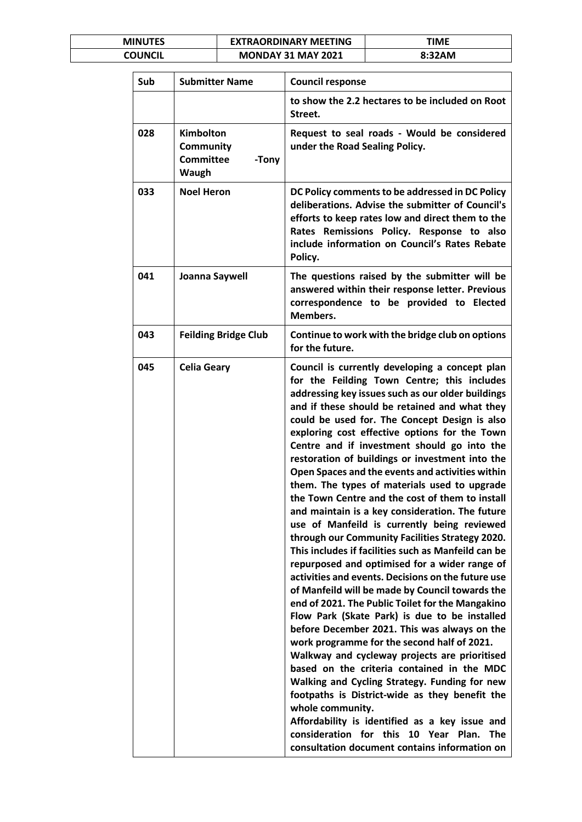| <b>MINUTES</b> | <b>EXTRAORDINARY MEETING</b> | <b>TIME</b> |
|----------------|------------------------------|-------------|
| COUNCIL        | <b>MONDAY 31 MAY 2021</b>    | 8:32AM      |

| Sub | <b>Submitter Name</b>                                                      | <b>Council response</b>                                                                                                                                                                                                                                                                                                                                                                                                                                                                                                                                                                                                                                                                                                                                                                                                                                                                                                                                                                                                                                                                                                                                                                                                                                                                                                                                                                                                                                                                                                    |
|-----|----------------------------------------------------------------------------|----------------------------------------------------------------------------------------------------------------------------------------------------------------------------------------------------------------------------------------------------------------------------------------------------------------------------------------------------------------------------------------------------------------------------------------------------------------------------------------------------------------------------------------------------------------------------------------------------------------------------------------------------------------------------------------------------------------------------------------------------------------------------------------------------------------------------------------------------------------------------------------------------------------------------------------------------------------------------------------------------------------------------------------------------------------------------------------------------------------------------------------------------------------------------------------------------------------------------------------------------------------------------------------------------------------------------------------------------------------------------------------------------------------------------------------------------------------------------------------------------------------------------|
|     |                                                                            | to show the 2.2 hectares to be included on Root<br>Street.                                                                                                                                                                                                                                                                                                                                                                                                                                                                                                                                                                                                                                                                                                                                                                                                                                                                                                                                                                                                                                                                                                                                                                                                                                                                                                                                                                                                                                                                 |
| 028 | <b>Kimbolton</b><br><b>Community</b><br><b>Committee</b><br>-Tony<br>Waugh | Request to seal roads - Would be considered<br>under the Road Sealing Policy.                                                                                                                                                                                                                                                                                                                                                                                                                                                                                                                                                                                                                                                                                                                                                                                                                                                                                                                                                                                                                                                                                                                                                                                                                                                                                                                                                                                                                                              |
| 033 | <b>Noel Heron</b>                                                          | DC Policy comments to be addressed in DC Policy<br>deliberations. Advise the submitter of Council's<br>efforts to keep rates low and direct them to the<br>Rates Remissions Policy. Response to also<br>include information on Council's Rates Rebate<br>Policy.                                                                                                                                                                                                                                                                                                                                                                                                                                                                                                                                                                                                                                                                                                                                                                                                                                                                                                                                                                                                                                                                                                                                                                                                                                                           |
| 041 | Joanna Saywell                                                             | The questions raised by the submitter will be<br>answered within their response letter. Previous<br>correspondence to be provided to Elected<br>Members.                                                                                                                                                                                                                                                                                                                                                                                                                                                                                                                                                                                                                                                                                                                                                                                                                                                                                                                                                                                                                                                                                                                                                                                                                                                                                                                                                                   |
| 043 | <b>Feilding Bridge Club</b>                                                | Continue to work with the bridge club on options<br>for the future.                                                                                                                                                                                                                                                                                                                                                                                                                                                                                                                                                                                                                                                                                                                                                                                                                                                                                                                                                                                                                                                                                                                                                                                                                                                                                                                                                                                                                                                        |
| 045 | <b>Celia Geary</b>                                                         | Council is currently developing a concept plan<br>for the Feilding Town Centre; this includes<br>addressing key issues such as our older buildings<br>and if these should be retained and what they<br>could be used for. The Concept Design is also<br>exploring cost effective options for the Town<br>Centre and if investment should go into the<br>restoration of buildings or investment into the<br>Open Spaces and the events and activities within<br>them. The types of materials used to upgrade<br>the Town Centre and the cost of them to install<br>and maintain is a key consideration. The future<br>use of Manfeild is currently being reviewed<br>through our Community Facilities Strategy 2020.<br>This includes if facilities such as Manfeild can be<br>repurposed and optimised for a wider range of<br>activities and events. Decisions on the future use<br>of Manfeild will be made by Council towards the<br>end of 2021. The Public Toilet for the Mangakino<br>Flow Park (Skate Park) is due to be installed<br>before December 2021. This was always on the<br>work programme for the second half of 2021.<br>Walkway and cycleway projects are prioritised<br>based on the criteria contained in the MDC<br>Walking and Cycling Strategy. Funding for new<br>footpaths is District-wide as they benefit the<br>whole community.<br>Affordability is identified as a key issue and<br>consideration for this 10 Year<br>Plan.<br><b>The</b><br>consultation document contains information on |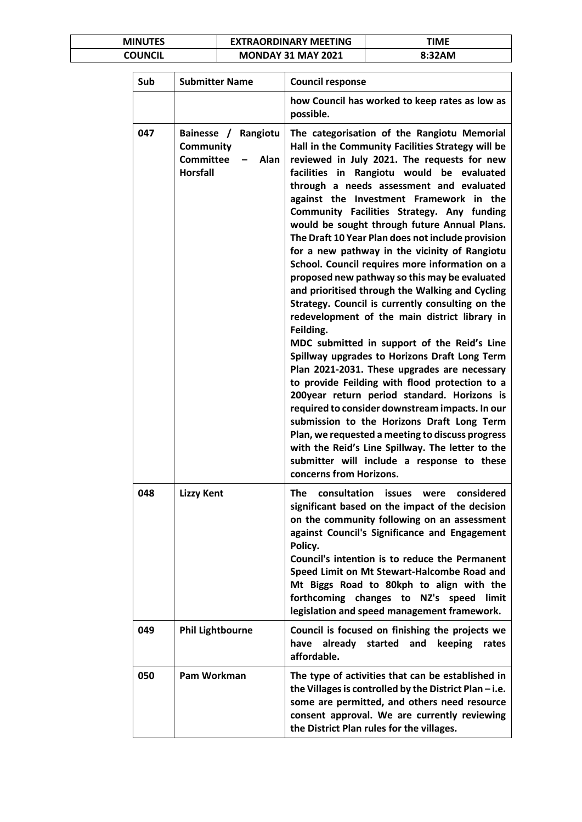| <b>MINUTES</b> | <b>EXTRAORDINARY MEETING</b> | <b>TIME</b> |
|----------------|------------------------------|-------------|
| COUNCIL        | <b>MONDAY 31 MAY 2021</b>    | 8:32AM      |

| Sub | <b>Submitter Name</b>                                                                     | <b>Council response</b>                                                                                                                                                                                                                                                                                                                                                                                                                                                                                                                                                                                                                                                                                                                                                                                                                                                                                                                                                                                                                                                                                                                                                                                                                                                                            |
|-----|-------------------------------------------------------------------------------------------|----------------------------------------------------------------------------------------------------------------------------------------------------------------------------------------------------------------------------------------------------------------------------------------------------------------------------------------------------------------------------------------------------------------------------------------------------------------------------------------------------------------------------------------------------------------------------------------------------------------------------------------------------------------------------------------------------------------------------------------------------------------------------------------------------------------------------------------------------------------------------------------------------------------------------------------------------------------------------------------------------------------------------------------------------------------------------------------------------------------------------------------------------------------------------------------------------------------------------------------------------------------------------------------------------|
|     |                                                                                           | how Council has worked to keep rates as low as<br>possible.                                                                                                                                                                                                                                                                                                                                                                                                                                                                                                                                                                                                                                                                                                                                                                                                                                                                                                                                                                                                                                                                                                                                                                                                                                        |
| 047 | Bainesse /<br>Rangiotu<br><b>Community</b><br><b>Committee</b><br>Alan<br><b>Horsfall</b> | The categorisation of the Rangiotu Memorial<br>Hall in the Community Facilities Strategy will be<br>reviewed in July 2021. The requests for new<br>facilities in Rangiotu would be evaluated<br>through a needs assessment and evaluated<br>against the Investment Framework in the<br>Community Facilities Strategy. Any funding<br>would be sought through future Annual Plans.<br>The Draft 10 Year Plan does not include provision<br>for a new pathway in the vicinity of Rangiotu<br>School. Council requires more information on a<br>proposed new pathway so this may be evaluated<br>and prioritised through the Walking and Cycling<br>Strategy. Council is currently consulting on the<br>redevelopment of the main district library in<br>Feilding.<br>MDC submitted in support of the Reid's Line<br>Spillway upgrades to Horizons Draft Long Term<br>Plan 2021-2031. These upgrades are necessary<br>to provide Feilding with flood protection to a<br>200year return period standard. Horizons is<br>required to consider downstream impacts. In our<br>submission to the Horizons Draft Long Term<br>Plan, we requested a meeting to discuss progress<br>with the Reid's Line Spillway. The letter to the<br>submitter will include a response to these<br>concerns from Horizons. |
| 048 | <b>Lizzy Kent</b>                                                                         | consultation<br>considered<br>The<br><b>issues</b><br>were<br>significant based on the impact of the decision<br>on the community following on an assessment<br>against Council's Significance and Engagement<br>Policy.<br>Council's intention is to reduce the Permanent<br>Speed Limit on Mt Stewart-Halcombe Road and<br>Mt Biggs Road to 80kph to align with the<br>forthcoming changes to NZ's speed<br>limit<br>legislation and speed management framework.                                                                                                                                                                                                                                                                                                                                                                                                                                                                                                                                                                                                                                                                                                                                                                                                                                 |
| 049 | <b>Phil Lightbourne</b>                                                                   | Council is focused on finishing the projects we<br>have already started and keeping<br>rates<br>affordable.                                                                                                                                                                                                                                                                                                                                                                                                                                                                                                                                                                                                                                                                                                                                                                                                                                                                                                                                                                                                                                                                                                                                                                                        |
| 050 | Pam Workman                                                                               | The type of activities that can be established in<br>the Villages is controlled by the District Plan $-$ i.e.<br>some are permitted, and others need resource<br>consent approval. We are currently reviewing<br>the District Plan rules for the villages.                                                                                                                                                                                                                                                                                                                                                                                                                                                                                                                                                                                                                                                                                                                                                                                                                                                                                                                                                                                                                                         |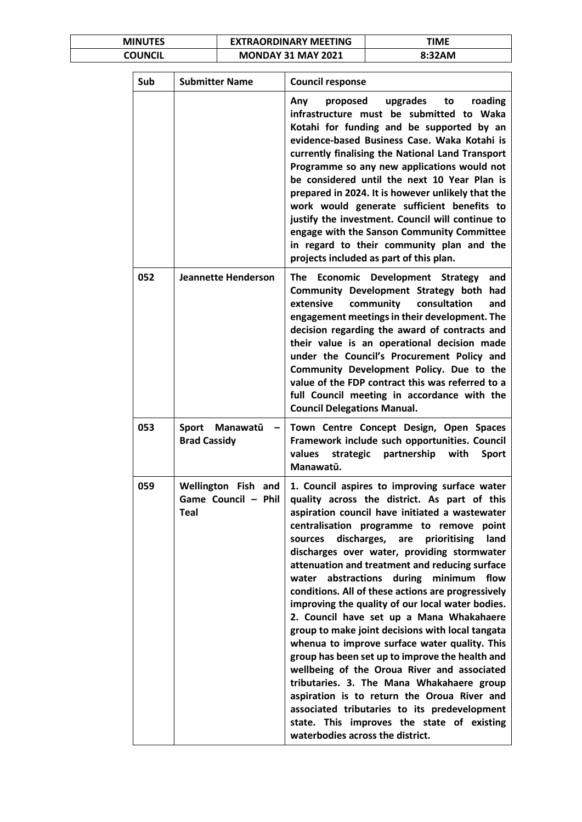| <b>MINUTES</b> | <b>EXTRAORDINARY MEETING</b> | TIME   |
|----------------|------------------------------|--------|
| COUNCIL        | <b>MONDAY 31 MAY 2021</b>    | 8:32AM |

| Sub | <b>Submitter Name</b>                              | <b>Council response</b>                                                                                                                                                                                                                                                                                                                                                                                                                                                                                                                                                                                                                                                                                                                                                                                                                                                                                                                                                                                |
|-----|----------------------------------------------------|--------------------------------------------------------------------------------------------------------------------------------------------------------------------------------------------------------------------------------------------------------------------------------------------------------------------------------------------------------------------------------------------------------------------------------------------------------------------------------------------------------------------------------------------------------------------------------------------------------------------------------------------------------------------------------------------------------------------------------------------------------------------------------------------------------------------------------------------------------------------------------------------------------------------------------------------------------------------------------------------------------|
|     |                                                    | Any<br>upgrades<br>to<br>roading<br>proposed<br>infrastructure must be submitted to Waka<br>Kotahi for funding and be supported by an<br>evidence-based Business Case. Waka Kotahi is<br>currently finalising the National Land Transport<br>Programme so any new applications would not<br>be considered until the next 10 Year Plan is<br>prepared in 2024. It is however unlikely that the<br>work would generate sufficient benefits to<br>justify the investment. Council will continue to<br>engage with the Sanson Community Committee<br>in regard to their community plan and the<br>projects included as part of this plan.                                                                                                                                                                                                                                                                                                                                                                  |
| 052 | <b>Jeannette Henderson</b>                         | Economic Development Strategy<br>The<br>and<br>Community Development Strategy both had<br>community<br>consultation<br>extensive<br>and<br>engagement meetings in their development. The<br>decision regarding the award of contracts and<br>their value is an operational decision made<br>under the Council's Procurement Policy and<br>Community Development Policy. Due to the<br>value of the FDP contract this was referred to a<br>full Council meeting in accordance with the<br><b>Council Delegations Manual.</b>                                                                                                                                                                                                                                                                                                                                                                                                                                                                            |
| 053 | Sport Manawatū<br><b>Brad Cassidy</b>              | Town Centre Concept Design, Open Spaces<br>Framework include such opportunities. Council<br>values<br>strategic<br>partnership<br>with<br><b>Sport</b><br>Manawatū.                                                                                                                                                                                                                                                                                                                                                                                                                                                                                                                                                                                                                                                                                                                                                                                                                                    |
| 059 | Wellington Fish and<br>Game Council - Phil<br>Teal | 1. Council aspires to improving surface water<br>quality across the district. As part of this<br>aspiration council have initiated a wastewater<br>centralisation programme to remove<br>point<br>discharges,<br>prioritising<br>land<br>sources<br>are<br>discharges over water, providing stormwater<br>attenuation and treatment and reducing surface<br>during minimum<br>abstractions<br>flow<br>water<br>conditions. All of these actions are progressively<br>improving the quality of our local water bodies.<br>2. Council have set up a Mana Whakahaere<br>group to make joint decisions with local tangata<br>whenua to improve surface water quality. This<br>group has been set up to improve the health and<br>wellbeing of the Oroua River and associated<br>tributaries. 3. The Mana Whakahaere group<br>aspiration is to return the Oroua River and<br>associated tributaries to its predevelopment<br>state. This improves the state of existing<br>waterbodies across the district. |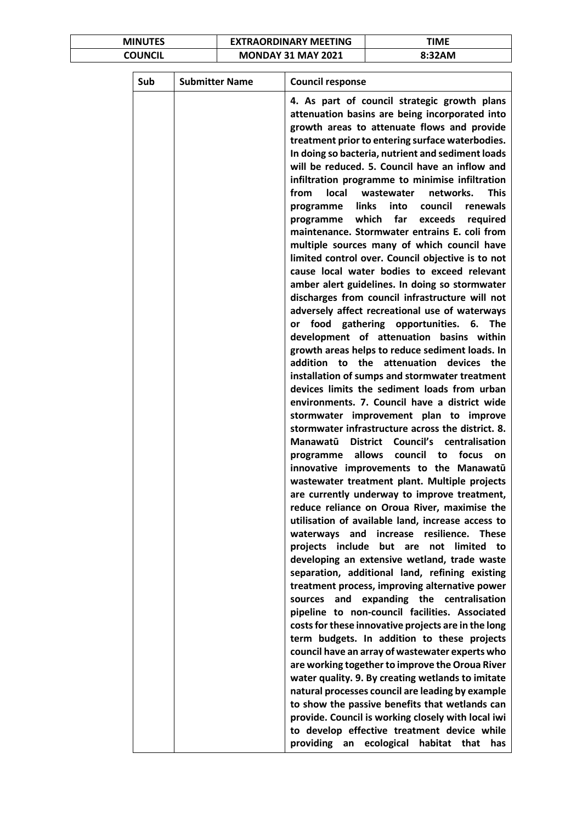| <b>MINUTES</b> | <b>EXTRAORDINARY MEETING</b> | TIME   |
|----------------|------------------------------|--------|
| COUNCIL        | <b>MONDAY 31 MAY 2021</b>    | 8:32AM |

|     | <b>Submitter Name</b> | <b>Council response</b>                                                                                                                                                                                                                                                                                                                                                                                                                                                                                                                                                                                                                                                                                                                                                                                                                                                                                                                                                                                                                                                                                                                                                                                                                                                                                                                                                                                                                                                                                                                                                                                                                                                                                                                                                                                                                                                                                                                                                                                                                                                                                                      |
|-----|-----------------------|------------------------------------------------------------------------------------------------------------------------------------------------------------------------------------------------------------------------------------------------------------------------------------------------------------------------------------------------------------------------------------------------------------------------------------------------------------------------------------------------------------------------------------------------------------------------------------------------------------------------------------------------------------------------------------------------------------------------------------------------------------------------------------------------------------------------------------------------------------------------------------------------------------------------------------------------------------------------------------------------------------------------------------------------------------------------------------------------------------------------------------------------------------------------------------------------------------------------------------------------------------------------------------------------------------------------------------------------------------------------------------------------------------------------------------------------------------------------------------------------------------------------------------------------------------------------------------------------------------------------------------------------------------------------------------------------------------------------------------------------------------------------------------------------------------------------------------------------------------------------------------------------------------------------------------------------------------------------------------------------------------------------------------------------------------------------------------------------------------------------------|
| Sub |                       | 4. As part of council strategic growth plans<br>attenuation basins are being incorporated into<br>growth areas to attenuate flows and provide<br>treatment prior to entering surface waterbodies.<br>In doing so bacteria, nutrient and sediment loads<br>will be reduced. 5. Council have an inflow and<br>infiltration programme to minimise infiltration<br><b>This</b><br>from<br>local<br>wastewater<br>networks.<br>links into council<br>renewals<br>programme<br>which far exceeds<br>programme<br>required<br>maintenance. Stormwater entrains E. coli from<br>multiple sources many of which council have<br>limited control over. Council objective is to not<br>cause local water bodies to exceed relevant<br>amber alert guidelines. In doing so stormwater<br>discharges from council infrastructure will not<br>adversely affect recreational use of waterways<br>food gathering opportunities. 6.<br>The<br>or<br>development of attenuation basins within<br>growth areas helps to reduce sediment loads. In<br>addition to the attenuation<br>devices the<br>installation of sumps and stormwater treatment<br>devices limits the sediment loads from urban<br>environments. 7. Council have a district wide<br>stormwater improvement plan to improve<br>stormwater infrastructure across the district. 8.<br>Manawatū<br>District Council's centralisation<br>allows<br>focus<br>council<br>programme<br>to<br>on<br>innovative improvements to the Manawatū<br>wastewater treatment plant. Multiple projects<br>are currently underway to improve treatment,<br>reduce reliance on Oroua River, maximise the<br>utilisation of available land, increase access to<br>resilience.<br>waterways and<br>increase<br><b>These</b><br>projects include<br>but<br>not<br>limited<br>to<br>are<br>developing an extensive wetland, trade waste<br>separation, additional land, refining existing<br>treatment process, improving alternative power<br>and<br>expanding the centralisation<br>sources<br>pipeline to non-council facilities. Associated<br>costs for these innovative projects are in the long |
|     |                       | term budgets. In addition to these projects<br>council have an array of wastewater experts who                                                                                                                                                                                                                                                                                                                                                                                                                                                                                                                                                                                                                                                                                                                                                                                                                                                                                                                                                                                                                                                                                                                                                                                                                                                                                                                                                                                                                                                                                                                                                                                                                                                                                                                                                                                                                                                                                                                                                                                                                               |
|     |                       | are working together to improve the Oroua River<br>water quality. 9. By creating wetlands to imitate<br>natural processes council are leading by example<br>to show the passive benefits that wetlands can<br>provide. Council is working closely with local iwi<br>to develop effective treatment device while                                                                                                                                                                                                                                                                                                                                                                                                                                                                                                                                                                                                                                                                                                                                                                                                                                                                                                                                                                                                                                                                                                                                                                                                                                                                                                                                                                                                                                                                                                                                                                                                                                                                                                                                                                                                              |
|     |                       | providing an<br>ecological<br>habitat<br>that<br>has                                                                                                                                                                                                                                                                                                                                                                                                                                                                                                                                                                                                                                                                                                                                                                                                                                                                                                                                                                                                                                                                                                                                                                                                                                                                                                                                                                                                                                                                                                                                                                                                                                                                                                                                                                                                                                                                                                                                                                                                                                                                         |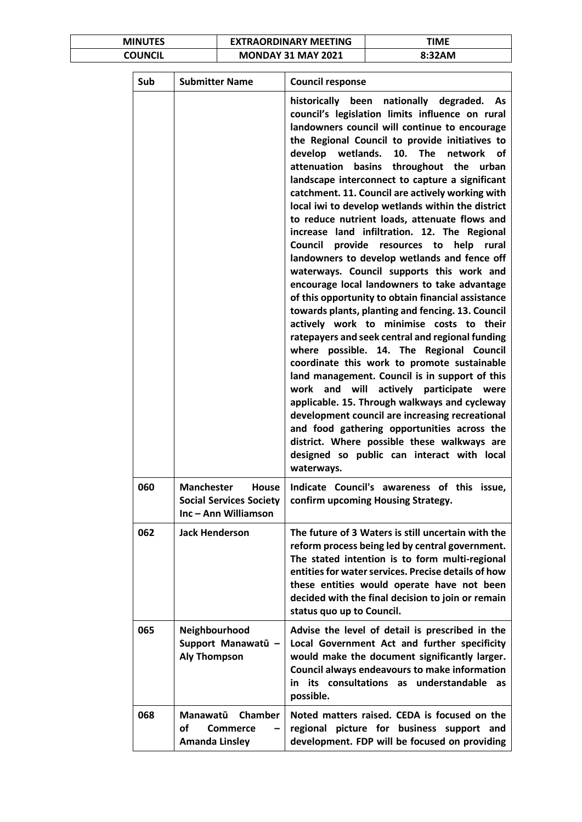| <b>MINUTES</b> | <b>EXTRAORDINARY MEETING</b> | ΓΙΜΕ   |
|----------------|------------------------------|--------|
| COUNCIL        | <b>MONDAY 31 MAY 2021</b>    | 8:32AM |

| Sub | <b>Submitter Name</b>                                                                | <b>Council response</b>                                                                                                                                                                                                                                                                                                                                                                                                                                                                                                                                                                                                                                                                                                                                                                                                                                                                                                                                                                                                                                                                                                                                                                                                                                                                                                                                                                                                                                               |
|-----|--------------------------------------------------------------------------------------|-----------------------------------------------------------------------------------------------------------------------------------------------------------------------------------------------------------------------------------------------------------------------------------------------------------------------------------------------------------------------------------------------------------------------------------------------------------------------------------------------------------------------------------------------------------------------------------------------------------------------------------------------------------------------------------------------------------------------------------------------------------------------------------------------------------------------------------------------------------------------------------------------------------------------------------------------------------------------------------------------------------------------------------------------------------------------------------------------------------------------------------------------------------------------------------------------------------------------------------------------------------------------------------------------------------------------------------------------------------------------------------------------------------------------------------------------------------------------|
|     |                                                                                      | historically<br>nationally degraded. As<br>been<br>council's legislation limits influence on rural<br>landowners council will continue to encourage<br>the Regional Council to provide initiatives to<br>develop<br>wetlands.<br>10.<br>The<br><b>network</b><br>οf<br>basins<br>throughout the<br>attenuation<br>urban<br>landscape interconnect to capture a significant<br>catchment. 11. Council are actively working with<br>local iwi to develop wetlands within the district<br>to reduce nutrient loads, attenuate flows and<br>increase land infiltration. 12. The Regional<br>Council<br>provide<br>help<br>resources to<br>rural<br>landowners to develop wetlands and fence off<br>waterways. Council supports this work and<br>encourage local landowners to take advantage<br>of this opportunity to obtain financial assistance<br>towards plants, planting and fencing. 13. Council<br>actively work to minimise costs to their<br>ratepayers and seek central and regional funding<br>where possible. 14. The Regional Council<br>coordinate this work to promote sustainable<br>land management. Council is in support of this<br>will<br>work<br>and<br>actively participate<br>were<br>applicable. 15. Through walkways and cycleway<br>development council are increasing recreational<br>and food gathering opportunities across the<br>district. Where possible these walkways are<br>designed so public can interact with local<br>waterways. |
| 060 | <b>Manchester</b><br>House<br><b>Social Services Society</b><br>Inc - Ann Williamson | Indicate Council's awareness of this issue,<br>confirm upcoming Housing Strategy.                                                                                                                                                                                                                                                                                                                                                                                                                                                                                                                                                                                                                                                                                                                                                                                                                                                                                                                                                                                                                                                                                                                                                                                                                                                                                                                                                                                     |
| 062 | <b>Jack Henderson</b>                                                                | The future of 3 Waters is still uncertain with the<br>reform process being led by central government.<br>The stated intention is to form multi-regional<br>entities for water services. Precise details of how<br>these entities would operate have not been<br>decided with the final decision to join or remain<br>status quo up to Council.                                                                                                                                                                                                                                                                                                                                                                                                                                                                                                                                                                                                                                                                                                                                                                                                                                                                                                                                                                                                                                                                                                                        |
| 065 | Neighbourhood<br>Support Manawatū -<br><b>Aly Thompson</b>                           | Advise the level of detail is prescribed in the<br>Local Government Act and further specificity<br>would make the document significantly larger.<br>Council always endeavours to make information<br>its consultations as understandable<br>in<br>as<br>possible.                                                                                                                                                                                                                                                                                                                                                                                                                                                                                                                                                                                                                                                                                                                                                                                                                                                                                                                                                                                                                                                                                                                                                                                                     |
| 068 | Chamber<br>Manawatū<br>οf<br>Commerce<br><b>Amanda Linsley</b>                       | Noted matters raised. CEDA is focused on the<br>regional picture for business support and<br>development. FDP will be focused on providing                                                                                                                                                                                                                                                                                                                                                                                                                                                                                                                                                                                                                                                                                                                                                                                                                                                                                                                                                                                                                                                                                                                                                                                                                                                                                                                            |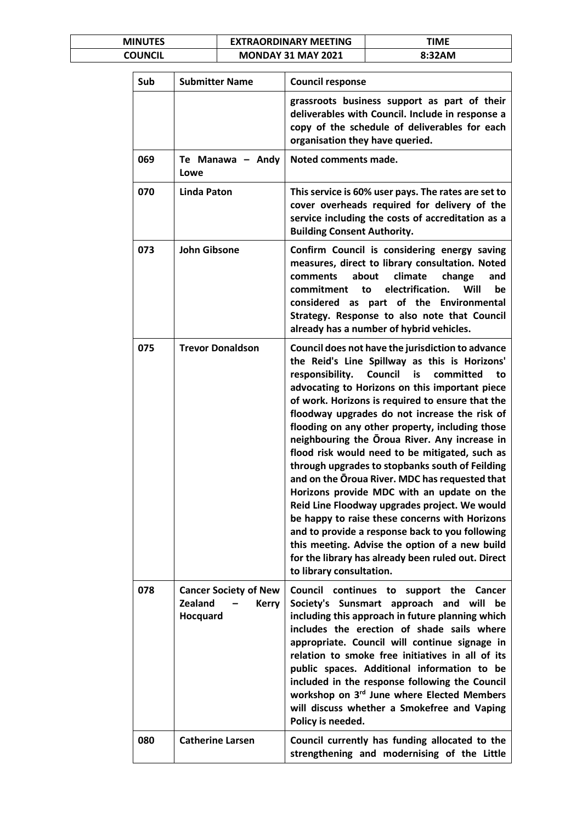| <b>MINUTES</b> | <b>EXTRAORDINARY MEETING</b> | TIME   |
|----------------|------------------------------|--------|
| COUNCIL        | <b>MONDAY 31 MAY 2021</b>    | 8:32AM |

| Sub | <b>Submitter Name</b>                                                      | <b>Council response</b>                                                                                                                                                                                                                                                                                                                                                                                                                                                                                                                                                                                                                                                                                                                                                                                                                                                                                             |
|-----|----------------------------------------------------------------------------|---------------------------------------------------------------------------------------------------------------------------------------------------------------------------------------------------------------------------------------------------------------------------------------------------------------------------------------------------------------------------------------------------------------------------------------------------------------------------------------------------------------------------------------------------------------------------------------------------------------------------------------------------------------------------------------------------------------------------------------------------------------------------------------------------------------------------------------------------------------------------------------------------------------------|
|     |                                                                            | grassroots business support as part of their<br>deliverables with Council. Include in response a<br>copy of the schedule of deliverables for each<br>organisation they have queried.                                                                                                                                                                                                                                                                                                                                                                                                                                                                                                                                                                                                                                                                                                                                |
| 069 | Te Manawa - Andy<br>Lowe                                                   | Noted comments made.                                                                                                                                                                                                                                                                                                                                                                                                                                                                                                                                                                                                                                                                                                                                                                                                                                                                                                |
| 070 | <b>Linda Paton</b>                                                         | This service is 60% user pays. The rates are set to<br>cover overheads required for delivery of the<br>service including the costs of accreditation as a<br><b>Building Consent Authority.</b>                                                                                                                                                                                                                                                                                                                                                                                                                                                                                                                                                                                                                                                                                                                      |
| 073 | <b>John Gibsone</b>                                                        | Confirm Council is considering energy saving<br>measures, direct to library consultation. Noted<br>about<br>climate<br>comments<br>change<br>and<br>electrification.<br>commitment<br>Will<br>be<br>to<br>part of the Environmental<br>considered as<br>Strategy. Response to also note that Council<br>already has a number of hybrid vehicles.                                                                                                                                                                                                                                                                                                                                                                                                                                                                                                                                                                    |
| 075 | <b>Trevor Donaldson</b>                                                    | Council does not have the jurisdiction to advance<br>the Reid's Line Spillway as this is Horizons'<br>responsibility.<br>Council<br>is<br>committed<br>to<br>advocating to Horizons on this important piece<br>of work. Horizons is required to ensure that the<br>floodway upgrades do not increase the risk of<br>flooding on any other property, including those<br>neighbouring the Oroua River. Any increase in<br>flood risk would need to be mitigated, such as<br>through upgrades to stopbanks south of Feilding<br>and on the Oroua River. MDC has requested that<br>Horizons provide MDC with an update on the<br>Reid Line Floodway upgrades project. We would<br>be happy to raise these concerns with Horizons<br>and to provide a response back to you following<br>this meeting. Advise the option of a new build<br>for the library has already been ruled out. Direct<br>to library consultation. |
| 078 | <b>Cancer Society of New</b><br><b>Zealand</b><br><b>Kerry</b><br>Hocquard | Council continues to support the Cancer<br>Society's Sunsmart approach and will<br>be<br>including this approach in future planning which<br>includes the erection of shade sails where<br>appropriate. Council will continue signage in<br>relation to smoke free initiatives in all of its<br>public spaces. Additional information to be<br>included in the response following the Council<br>workshop on 3rd June where Elected Members<br>will discuss whether a Smokefree and Vaping<br>Policy is needed.                                                                                                                                                                                                                                                                                                                                                                                                     |
| 080 | <b>Catherine Larsen</b>                                                    | Council currently has funding allocated to the<br>strengthening and modernising of the Little                                                                                                                                                                                                                                                                                                                                                                                                                                                                                                                                                                                                                                                                                                                                                                                                                       |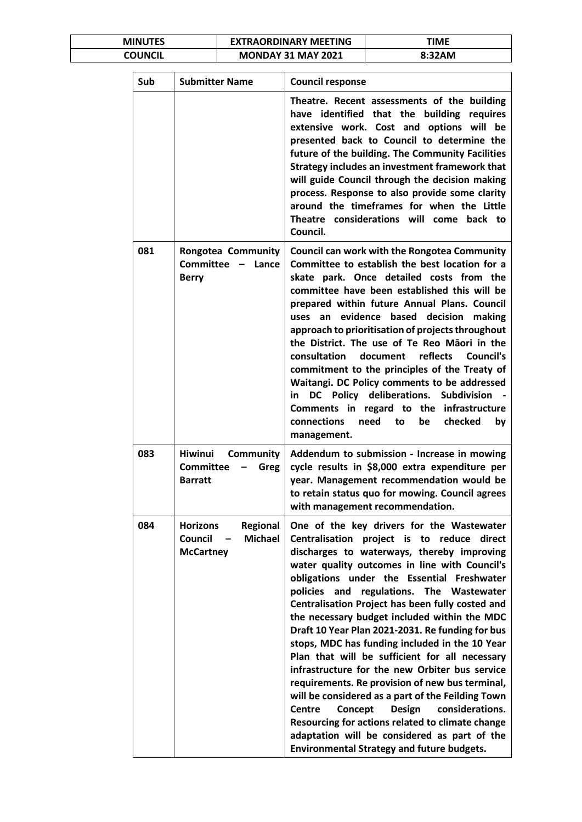| <b>MINUTES</b> | <b>EXTRAORDINARY MEETING</b> | TIME   |
|----------------|------------------------------|--------|
| COUNCIL        | <b>MONDAY 31 MAY 2021</b>    | 8:32AM |

| Sub | <b>Submitter Name</b>                                                                   | <b>Council response</b>                                                                                                                                                                                                                                                                                                                                                                                                                                                                                                                                                                                                                                                                                                                                                                                                                                                                                                     |
|-----|-----------------------------------------------------------------------------------------|-----------------------------------------------------------------------------------------------------------------------------------------------------------------------------------------------------------------------------------------------------------------------------------------------------------------------------------------------------------------------------------------------------------------------------------------------------------------------------------------------------------------------------------------------------------------------------------------------------------------------------------------------------------------------------------------------------------------------------------------------------------------------------------------------------------------------------------------------------------------------------------------------------------------------------|
|     |                                                                                         | Theatre. Recent assessments of the building<br>have identified that the building requires<br>extensive work. Cost and options will be<br>presented back to Council to determine the<br>future of the building. The Community Facilities<br>Strategy includes an investment framework that<br>will guide Council through the decision making<br>process. Response to also provide some clarity<br>around the timeframes for when the Little<br>Theatre considerations will come back to<br>Council.                                                                                                                                                                                                                                                                                                                                                                                                                          |
| 081 | <b>Rongotea Community</b><br>Committee - Lance<br><b>Berry</b>                          | <b>Council can work with the Rongotea Community</b><br>Committee to establish the best location for a<br>skate park. Once detailed costs from the<br>committee have been established this will be<br>prepared within future Annual Plans. Council<br>uses an evidence based decision<br>making<br>approach to prioritisation of projects throughout<br>the District. The use of Te Reo Māori in the<br>reflects<br><b>Council's</b><br>consultation<br>document<br>commitment to the principles of the Treaty of<br>Waitangi. DC Policy comments to be addressed<br>DC Policy deliberations. Subdivision<br>in l<br>Comments in regard to the infrastructure<br>connections<br>need to<br>be<br>checked<br>by<br>management.                                                                                                                                                                                                |
| 083 | <b>Hiwinui</b><br><b>Community</b><br><b>Committee</b><br><b>Greg</b><br><b>Barratt</b> | Addendum to submission - Increase in mowing<br>cycle results in \$8,000 extra expenditure per<br>year. Management recommendation would be<br>to retain status quo for mowing. Council agrees<br>with management recommendation.                                                                                                                                                                                                                                                                                                                                                                                                                                                                                                                                                                                                                                                                                             |
| 084 | <b>Horizons</b><br>Regional<br>Council<br><b>Michael</b><br><b>McCartney</b>            | One of the key drivers for the Wastewater<br>Centralisation project is to reduce direct<br>discharges to waterways, thereby improving<br>water quality outcomes in line with Council's<br>obligations under the Essential Freshwater<br>regulations. The Wastewater<br>policies and<br>Centralisation Project has been fully costed and<br>the necessary budget included within the MDC<br>Draft 10 Year Plan 2021-2031. Re funding for bus<br>stops, MDC has funding included in the 10 Year<br>Plan that will be sufficient for all necessary<br>infrastructure for the new Orbiter bus service<br>requirements. Re provision of new bus terminal,<br>will be considered as a part of the Feilding Town<br>Design<br>considerations.<br><b>Centre</b><br>Concept<br>Resourcing for actions related to climate change<br>adaptation will be considered as part of the<br><b>Environmental Strategy and future budgets.</b> |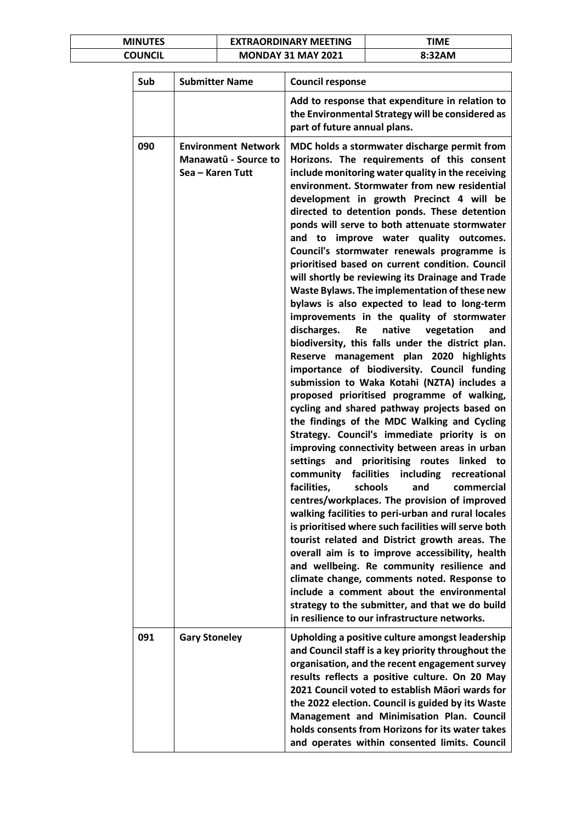| <b>MINUTES</b> | <b>EXTRAORDINARY MEETING</b> | TIME   |
|----------------|------------------------------|--------|
| COUNCIL        | <b>MONDAY 31 MAY 2021</b>    | 8:32AM |

| Sub | <b>Submitter Name</b>                                                  | <b>Council response</b>                                                                                                                                                                                                                                                                                                                                                                                                                                                                                                                                                                                                                                                                                                                                                                                                                                                                                                                                                                                                                                                                                                                                                                                                                                                                                                                                                                                                                                                                                                                                                                                                                                                                                                                                                                                                                                                          |
|-----|------------------------------------------------------------------------|----------------------------------------------------------------------------------------------------------------------------------------------------------------------------------------------------------------------------------------------------------------------------------------------------------------------------------------------------------------------------------------------------------------------------------------------------------------------------------------------------------------------------------------------------------------------------------------------------------------------------------------------------------------------------------------------------------------------------------------------------------------------------------------------------------------------------------------------------------------------------------------------------------------------------------------------------------------------------------------------------------------------------------------------------------------------------------------------------------------------------------------------------------------------------------------------------------------------------------------------------------------------------------------------------------------------------------------------------------------------------------------------------------------------------------------------------------------------------------------------------------------------------------------------------------------------------------------------------------------------------------------------------------------------------------------------------------------------------------------------------------------------------------------------------------------------------------------------------------------------------------|
|     |                                                                        | Add to response that expenditure in relation to<br>the Environmental Strategy will be considered as<br>part of future annual plans.                                                                                                                                                                                                                                                                                                                                                                                                                                                                                                                                                                                                                                                                                                                                                                                                                                                                                                                                                                                                                                                                                                                                                                                                                                                                                                                                                                                                                                                                                                                                                                                                                                                                                                                                              |
| 090 | <b>Environment Network</b><br>Manawatū - Source to<br>Sea - Karen Tutt | MDC holds a stormwater discharge permit from<br>Horizons. The requirements of this consent<br>include monitoring water quality in the receiving<br>environment. Stormwater from new residential<br>development in growth Precinct 4 will be<br>directed to detention ponds. These detention<br>ponds will serve to both attenuate stormwater<br>improve water quality outcomes.<br>and to<br>Council's stormwater renewals programme is<br>prioritised based on current condition. Council<br>will shortly be reviewing its Drainage and Trade<br>Waste Bylaws. The implementation of these new<br>bylaws is also expected to lead to long-term<br>improvements in the quality of stormwater<br>native<br>discharges.<br><b>Re</b><br>vegetation<br>and<br>biodiversity, this falls under the district plan.<br>Reserve management plan 2020 highlights<br>importance of biodiversity. Council funding<br>submission to Waka Kotahi (NZTA) includes a<br>proposed prioritised programme of walking,<br>cycling and shared pathway projects based on<br>the findings of the MDC Walking and Cycling<br>Strategy. Council's immediate priority is on<br>improving connectivity between areas in urban<br>prioritising routes<br>settings and<br>linked<br>to<br>facilities including<br>community<br>recreational<br>facilities,<br>schools<br>and<br>commercial<br>centres/workplaces. The provision of improved<br>walking facilities to peri-urban and rural locales<br>is prioritised where such facilities will serve both<br>tourist related and District growth areas. The<br>overall aim is to improve accessibility, health<br>and wellbeing. Re community resilience and<br>climate change, comments noted. Response to<br>include a comment about the environmental<br>strategy to the submitter, and that we do build<br>in resilience to our infrastructure networks. |
| 091 | <b>Gary Stoneley</b>                                                   | Upholding a positive culture amongst leadership<br>and Council staff is a key priority throughout the<br>organisation, and the recent engagement survey<br>results reflects a positive culture. On 20 May<br>2021 Council voted to establish Māori wards for<br>the 2022 election. Council is guided by its Waste<br>Management and Minimisation Plan. Council<br>holds consents from Horizons for its water takes<br>and operates within consented limits. Council                                                                                                                                                                                                                                                                                                                                                                                                                                                                                                                                                                                                                                                                                                                                                                                                                                                                                                                                                                                                                                                                                                                                                                                                                                                                                                                                                                                                              |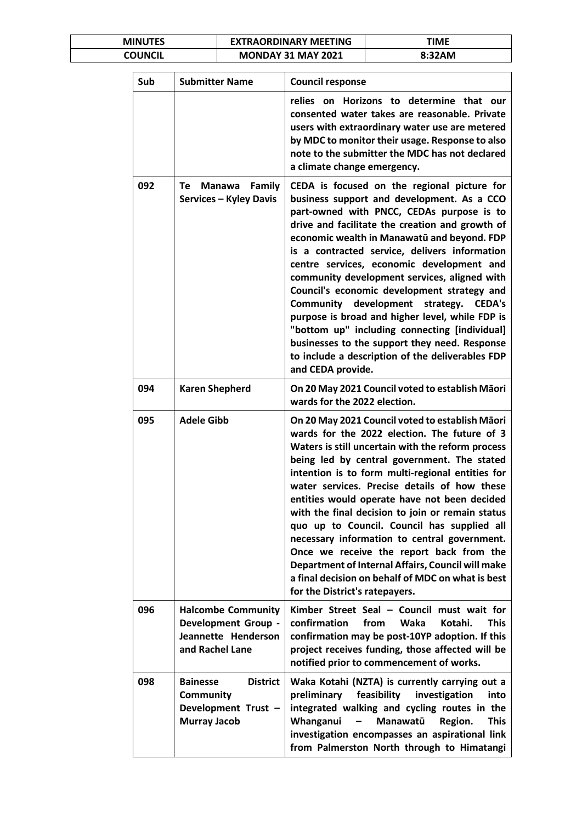| <b>MINUTES</b> | <b>EXTRAORDINARY MEETING</b> | TIME   |
|----------------|------------------------------|--------|
| COUNCIL        | <b>MONDAY 31 MAY 2021</b>    | 8:32AM |

| Sub | <b>Submitter Name</b>                                                                                | <b>Council response</b>                                                                                                                                                                                                                                                                                                                                                                                                                                                                                                                                                                                                                                                                                                       |
|-----|------------------------------------------------------------------------------------------------------|-------------------------------------------------------------------------------------------------------------------------------------------------------------------------------------------------------------------------------------------------------------------------------------------------------------------------------------------------------------------------------------------------------------------------------------------------------------------------------------------------------------------------------------------------------------------------------------------------------------------------------------------------------------------------------------------------------------------------------|
|     |                                                                                                      | relies on Horizons to determine that our<br>consented water takes are reasonable. Private<br>users with extraordinary water use are metered<br>by MDC to monitor their usage. Response to also<br>note to the submitter the MDC has not declared<br>a climate change emergency.                                                                                                                                                                                                                                                                                                                                                                                                                                               |
| 092 | Family<br>Manawa<br>Te<br><b>Services - Kyley Davis</b>                                              | CEDA is focused on the regional picture for<br>business support and development. As a CCO<br>part-owned with PNCC, CEDAs purpose is to<br>drive and facilitate the creation and growth of<br>economic wealth in Manawatū and beyond. FDP<br>is a contracted service, delivers information<br>centre services, economic development and<br>community development services, aligned with<br>Council's economic development strategy and<br>Community<br>development<br>strategy.<br><b>CEDA's</b><br>purpose is broad and higher level, while FDP is<br>"bottom up" including connecting [individual]<br>businesses to the support they need. Response<br>to include a description of the deliverables FDP<br>and CEDA provide. |
| 094 | <b>Karen Shepherd</b>                                                                                | On 20 May 2021 Council voted to establish Māori<br>wards for the 2022 election.                                                                                                                                                                                                                                                                                                                                                                                                                                                                                                                                                                                                                                               |
| 095 | <b>Adele Gibb</b>                                                                                    | On 20 May 2021 Council voted to establish Māori<br>wards for the 2022 election. The future of 3<br>Waters is still uncertain with the reform process<br>being led by central government. The stated<br>intention is to form multi-regional entities for<br>water services. Precise details of how these<br>entities would operate have not been decided<br>with the final decision to join or remain status<br>quo up to Council. Council has supplied all<br>necessary information to central government.<br>Once we receive the report back from the<br>Department of Internal Affairs, Council will make<br>a final decision on behalf of MDC on what is best<br>for the District's ratepayers.                            |
| 096 | <b>Halcombe Community</b><br><b>Development Group -</b><br>Jeannette Henderson<br>and Rachel Lane    | Kimber Street Seal - Council must wait for<br>confirmation<br>from<br>Waka<br><b>This</b><br>Kotahi.<br>confirmation may be post-10YP adoption. If this<br>project receives funding, those affected will be<br>notified prior to commencement of works.                                                                                                                                                                                                                                                                                                                                                                                                                                                                       |
| 098 | <b>District</b><br><b>Bainesse</b><br><b>Community</b><br>Development Trust -<br><b>Murray Jacob</b> | Waka Kotahi (NZTA) is currently carrying out a<br>preliminary<br>feasibility<br>investigation<br>into<br>integrated walking and cycling routes in the<br>Whanganui<br>Manawatū<br>Region.<br><b>This</b><br>-<br>investigation encompasses an aspirational link<br>from Palmerston North through to Himatangi                                                                                                                                                                                                                                                                                                                                                                                                                 |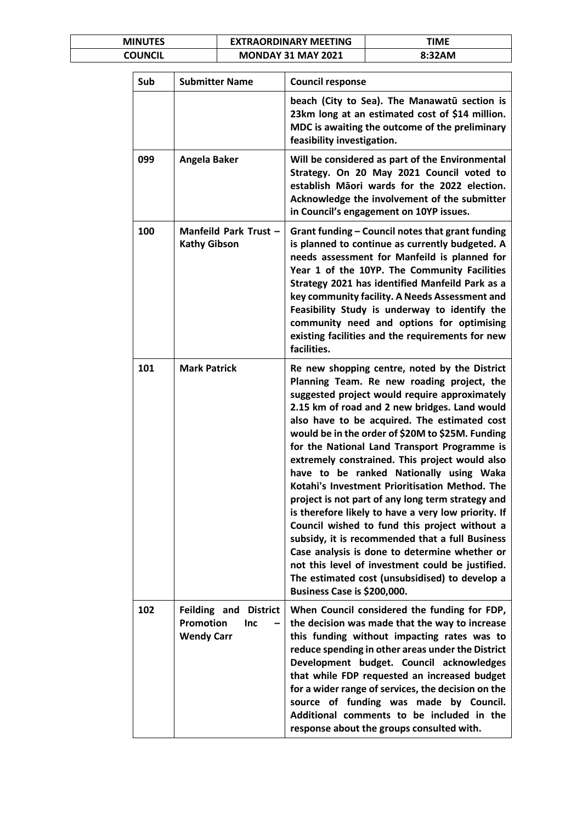| <b>MINUTES</b> | <b>EXTRAORDINARY MEETING</b> | TIME   |
|----------------|------------------------------|--------|
| COUNCIL        | <b>MONDAY 31 MAY 2021</b>    | 8:32AM |

| Sub | <b>Submitter Name</b>                                                           | <b>Council response</b>                                                                                                                                                                                                                                                                                                                                                                                                                                                                                                                                                                                                                                                                                                                                                                                                                                                                                |
|-----|---------------------------------------------------------------------------------|--------------------------------------------------------------------------------------------------------------------------------------------------------------------------------------------------------------------------------------------------------------------------------------------------------------------------------------------------------------------------------------------------------------------------------------------------------------------------------------------------------------------------------------------------------------------------------------------------------------------------------------------------------------------------------------------------------------------------------------------------------------------------------------------------------------------------------------------------------------------------------------------------------|
|     |                                                                                 | beach (City to Sea). The Manawatū section is<br>23km long at an estimated cost of \$14 million.<br>MDC is awaiting the outcome of the preliminary<br>feasibility investigation.                                                                                                                                                                                                                                                                                                                                                                                                                                                                                                                                                                                                                                                                                                                        |
| 099 | Angela Baker                                                                    | Will be considered as part of the Environmental<br>Strategy. On 20 May 2021 Council voted to<br>establish Māori wards for the 2022 election.<br>Acknowledge the involvement of the submitter<br>in Council's engagement on 10YP issues.                                                                                                                                                                                                                                                                                                                                                                                                                                                                                                                                                                                                                                                                |
| 100 | Manfeild Park Trust -<br><b>Kathy Gibson</b>                                    | Grant funding - Council notes that grant funding<br>is planned to continue as currently budgeted. A<br>needs assessment for Manfeild is planned for<br>Year 1 of the 10YP. The Community Facilities<br>Strategy 2021 has identified Manfeild Park as a<br>key community facility. A Needs Assessment and<br>Feasibility Study is underway to identify the<br>community need and options for optimising<br>existing facilities and the requirements for new<br>facilities.                                                                                                                                                                                                                                                                                                                                                                                                                              |
| 101 | <b>Mark Patrick</b>                                                             | Re new shopping centre, noted by the District<br>Planning Team. Re new roading project, the<br>suggested project would require approximately<br>2.15 km of road and 2 new bridges. Land would<br>also have to be acquired. The estimated cost<br>would be in the order of \$20M to \$25M. Funding<br>for the National Land Transport Programme is<br>extremely constrained. This project would also<br>have to be ranked Nationally using Waka<br>Kotahi's Investment Prioritisation Method. The<br>project is not part of any long term strategy and<br>is therefore likely to have a very low priority. If<br>Council wished to fund this project without a<br>subsidy, it is recommended that a full Business<br>Case analysis is done to determine whether or<br>not this level of investment could be justified.<br>The estimated cost (unsubsidised) to develop a<br>Business Case is \$200,000. |
| 102 | Feilding and<br><b>District</b><br><b>Promotion</b><br>Inc<br><b>Wendy Carr</b> | When Council considered the funding for FDP,<br>the decision was made that the way to increase<br>this funding without impacting rates was to<br>reduce spending in other areas under the District<br>Development budget. Council acknowledges<br>that while FDP requested an increased budget<br>for a wider range of services, the decision on the<br>source of funding was made by Council.<br>Additional comments to be included in the<br>response about the groups consulted with.                                                                                                                                                                                                                                                                                                                                                                                                               |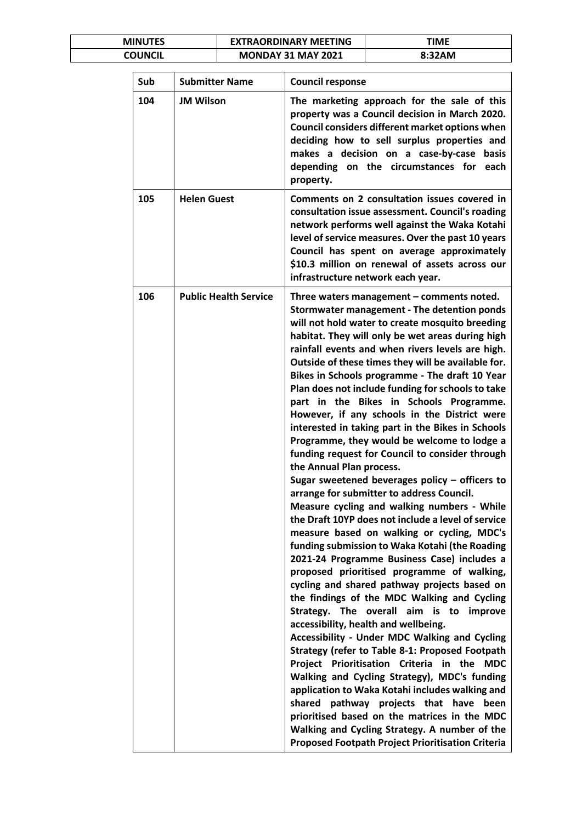| <b>MINUTES</b> | <b>EXTRAORDINARY MEETING</b> | ΓΙΜΕ   |
|----------------|------------------------------|--------|
| COUNCIL        | <b>MONDAY 31 MAY 2021</b>    | 8:32AM |

| Sub | <b>Submitter Name</b>        | <b>Council response</b>                                                                                                                                                                                                                                                                                                                                                                                                                                                                                                                                                                                                                                                                                                                                                                                                                                                                                                                                                                                                                                                                                                                                                                                                                                                                                                                                                                                                                                                                                                                                                                                                                                                                                                                                        |
|-----|------------------------------|----------------------------------------------------------------------------------------------------------------------------------------------------------------------------------------------------------------------------------------------------------------------------------------------------------------------------------------------------------------------------------------------------------------------------------------------------------------------------------------------------------------------------------------------------------------------------------------------------------------------------------------------------------------------------------------------------------------------------------------------------------------------------------------------------------------------------------------------------------------------------------------------------------------------------------------------------------------------------------------------------------------------------------------------------------------------------------------------------------------------------------------------------------------------------------------------------------------------------------------------------------------------------------------------------------------------------------------------------------------------------------------------------------------------------------------------------------------------------------------------------------------------------------------------------------------------------------------------------------------------------------------------------------------------------------------------------------------------------------------------------------------|
| 104 | <b>JM Wilson</b>             | The marketing approach for the sale of this<br>property was a Council decision in March 2020.<br>Council considers different market options when<br>deciding how to sell surplus properties and<br>makes a decision on a case-by-case<br>basis<br>depending on the circumstances for<br>each<br>property.                                                                                                                                                                                                                                                                                                                                                                                                                                                                                                                                                                                                                                                                                                                                                                                                                                                                                                                                                                                                                                                                                                                                                                                                                                                                                                                                                                                                                                                      |
| 105 | <b>Helen Guest</b>           | Comments on 2 consultation issues covered in<br>consultation issue assessment. Council's roading<br>network performs well against the Waka Kotahi<br>level of service measures. Over the past 10 years<br>Council has spent on average approximately<br>\$10.3 million on renewal of assets across our<br>infrastructure network each year.                                                                                                                                                                                                                                                                                                                                                                                                                                                                                                                                                                                                                                                                                                                                                                                                                                                                                                                                                                                                                                                                                                                                                                                                                                                                                                                                                                                                                    |
| 106 | <b>Public Health Service</b> | Three waters management - comments noted.<br><b>Stormwater management - The detention ponds</b><br>will not hold water to create mosquito breeding<br>habitat. They will only be wet areas during high<br>rainfall events and when rivers levels are high.<br>Outside of these times they will be available for.<br>Bikes in Schools programme - The draft 10 Year<br>Plan does not include funding for schools to take<br>part in the Bikes in Schools Programme.<br>However, if any schools in the District were<br>interested in taking part in the Bikes in Schools<br>Programme, they would be welcome to lodge a<br>funding request for Council to consider through<br>the Annual Plan process.<br>Sugar sweetened beverages policy - officers to<br>arrange for submitter to address Council.<br>Measure cycling and walking numbers - While<br>the Draft 10YP does not include a level of service<br>measure based on walking or cycling, MDC's<br>funding submission to Waka Kotahi (the Roading<br>2021-24 Programme Business Case) includes a<br>proposed prioritised programme of walking,<br>cycling and shared pathway projects based on<br>the findings of the MDC Walking and Cycling<br>Strategy. The overall aim is to improve<br>accessibility, health and wellbeing.<br>Accessibility - Under MDC Walking and Cycling<br>Strategy (refer to Table 8-1: Proposed Footpath<br>Project Prioritisation Criteria in the<br><b>MDC</b><br>Walking and Cycling Strategy), MDC's funding<br>application to Waka Kotahi includes walking and<br>shared pathway projects that have been<br>prioritised based on the matrices in the MDC<br>Walking and Cycling Strategy. A number of the<br><b>Proposed Footpath Project Prioritisation Criteria</b> |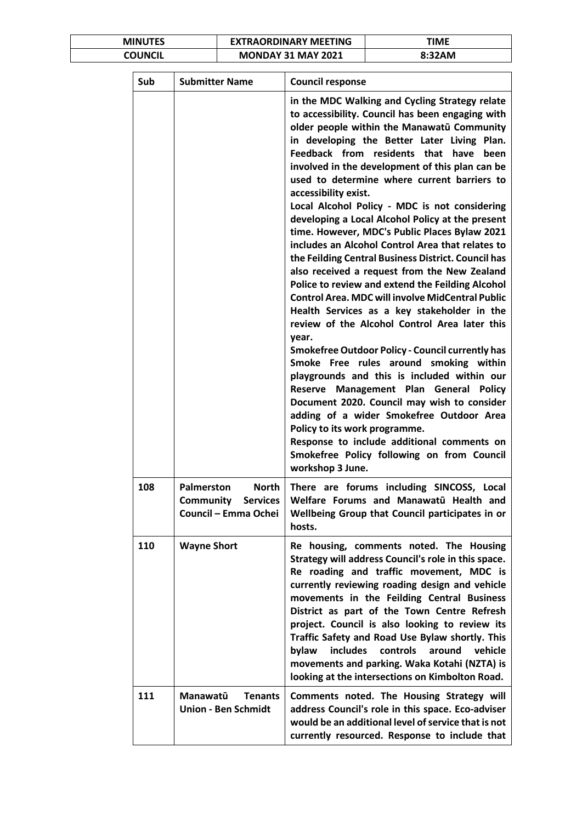| <b>MINUTES</b> | <b>EXTRAORDINARY MEETING</b> | TIME   |
|----------------|------------------------------|--------|
| COUNCIL        | <b>MONDAY 31 MAY 2021</b>    | 8:32AM |

| Sub | <b>Submitter Name</b>                                                                     | <b>Council response</b>                                                                                                                                                                                                                                                                                                                                                                                                                                                                                                                                                                                                                                                                                                                                                                                                                                                                                                                                                                                                                                                                                                                                                                                                                                                                                                                                                   |
|-----|-------------------------------------------------------------------------------------------|---------------------------------------------------------------------------------------------------------------------------------------------------------------------------------------------------------------------------------------------------------------------------------------------------------------------------------------------------------------------------------------------------------------------------------------------------------------------------------------------------------------------------------------------------------------------------------------------------------------------------------------------------------------------------------------------------------------------------------------------------------------------------------------------------------------------------------------------------------------------------------------------------------------------------------------------------------------------------------------------------------------------------------------------------------------------------------------------------------------------------------------------------------------------------------------------------------------------------------------------------------------------------------------------------------------------------------------------------------------------------|
|     |                                                                                           | in the MDC Walking and Cycling Strategy relate<br>to accessibility. Council has been engaging with<br>older people within the Manawatū Community<br>in developing the Better Later Living Plan.<br>Feedback from residents that<br>have<br>been<br>involved in the development of this plan can be<br>used to determine where current barriers to<br>accessibility exist.<br>Local Alcohol Policy - MDC is not considering<br>developing a Local Alcohol Policy at the present<br>time. However, MDC's Public Places Bylaw 2021<br>includes an Alcohol Control Area that relates to<br>the Feilding Central Business District. Council has<br>also received a request from the New Zealand<br>Police to review and extend the Feilding Alcohol<br><b>Control Area. MDC will involve MidCentral Public</b><br>Health Services as a key stakeholder in the<br>review of the Alcohol Control Area later this<br>year.<br><b>Smokefree Outdoor Policy - Council currently has</b><br>Smoke Free rules around smoking within<br>playgrounds and this is included within our<br>Management Plan General<br>Reserve<br><b>Policy</b><br>Document 2020. Council may wish to consider<br>adding of a wider Smokefree Outdoor Area<br>Policy to its work programme.<br>Response to include additional comments on<br>Smokefree Policy following on from Council<br>workshop 3 June. |
| 108 | Palmerston<br><b>North</b><br><b>Community</b><br><b>Services</b><br>Council - Emma Ochei | There are forums including SINCOSS, Local<br>Welfare Forums and Manawatū Health and<br>Wellbeing Group that Council participates in or<br>hosts.                                                                                                                                                                                                                                                                                                                                                                                                                                                                                                                                                                                                                                                                                                                                                                                                                                                                                                                                                                                                                                                                                                                                                                                                                          |
| 110 | <b>Wayne Short</b>                                                                        | Re housing, comments noted. The Housing<br>Strategy will address Council's role in this space.<br>Re roading and traffic movement, MDC is<br>currently reviewing roading design and vehicle<br>movements in the Feilding Central Business<br>District as part of the Town Centre Refresh<br>project. Council is also looking to review its<br>Traffic Safety and Road Use Bylaw shortly. This<br><i>includes</i><br>controls<br>around<br>vehicle<br>bylaw<br>movements and parking. Waka Kotahi (NZTA) is<br>looking at the intersections on Kimbolton Road.                                                                                                                                                                                                                                                                                                                                                                                                                                                                                                                                                                                                                                                                                                                                                                                                             |
| 111 | Manawatū<br><b>Tenants</b><br><b>Union - Ben Schmidt</b>                                  | Comments noted. The Housing Strategy will<br>address Council's role in this space. Eco-adviser<br>would be an additional level of service that is not<br>currently resourced. Response to include that                                                                                                                                                                                                                                                                                                                                                                                                                                                                                                                                                                                                                                                                                                                                                                                                                                                                                                                                                                                                                                                                                                                                                                    |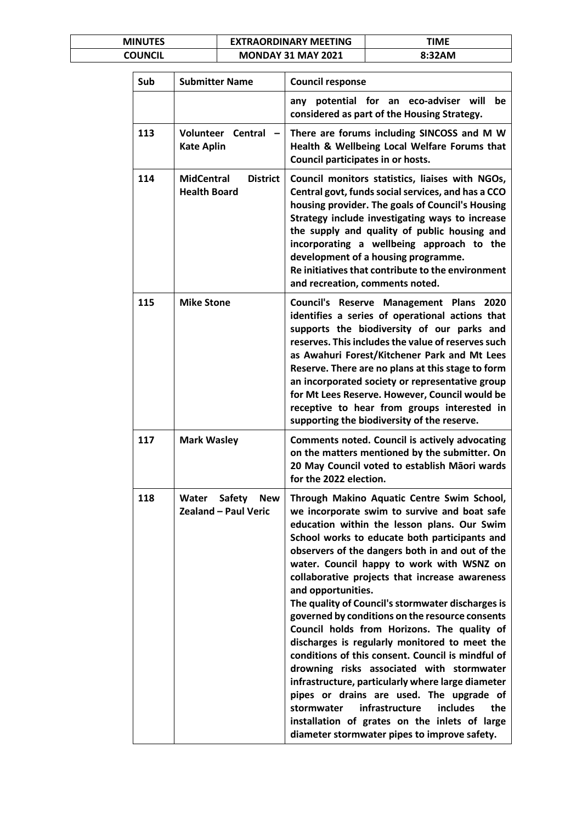| <b>MINUTES</b> | <b>EXTRAORDINARY MEETING</b> | ΓΙΜΕ   |
|----------------|------------------------------|--------|
| COUNCIL        | <b>MONDAY 31 MAY 2021</b>    | 8:32AM |

| Sub | <b>Submitter Name</b>                                               | <b>Council response</b>                                                                                                                                                                                                                                                                                                                                                                                                                                                                                                                                                                                                                                                                                                                                                                                                                                                                                                                  |
|-----|---------------------------------------------------------------------|------------------------------------------------------------------------------------------------------------------------------------------------------------------------------------------------------------------------------------------------------------------------------------------------------------------------------------------------------------------------------------------------------------------------------------------------------------------------------------------------------------------------------------------------------------------------------------------------------------------------------------------------------------------------------------------------------------------------------------------------------------------------------------------------------------------------------------------------------------------------------------------------------------------------------------------|
|     |                                                                     | any potential for an eco-adviser will<br>be<br>considered as part of the Housing Strategy.                                                                                                                                                                                                                                                                                                                                                                                                                                                                                                                                                                                                                                                                                                                                                                                                                                               |
| 113 | <b>Volunteer Central</b><br><b>Kate Aplin</b>                       | There are forums including SINCOSS and M W<br>Health & Wellbeing Local Welfare Forums that<br>Council participates in or hosts.                                                                                                                                                                                                                                                                                                                                                                                                                                                                                                                                                                                                                                                                                                                                                                                                          |
| 114 | <b>MidCentral</b><br><b>District</b><br><b>Health Board</b>         | Council monitors statistics, liaises with NGOs,<br>Central govt, funds social services, and has a CCO<br>housing provider. The goals of Council's Housing<br>Strategy include investigating ways to increase<br>the supply and quality of public housing and<br>incorporating a wellbeing approach to the<br>development of a housing programme.<br>Re initiatives that contribute to the environment<br>and recreation, comments noted.                                                                                                                                                                                                                                                                                                                                                                                                                                                                                                 |
| 115 | <b>Mike Stone</b>                                                   | Council's Reserve Management Plans 2020<br>identifies a series of operational actions that<br>supports the biodiversity of our parks and<br>reserves. This includes the value of reserves such<br>as Awahuri Forest/Kitchener Park and Mt Lees<br>Reserve. There are no plans at this stage to form<br>an incorporated society or representative group<br>for Mt Lees Reserve. However, Council would be<br>receptive to hear from groups interested in<br>supporting the biodiversity of the reserve.                                                                                                                                                                                                                                                                                                                                                                                                                                   |
| 117 | <b>Mark Wasley</b>                                                  | <b>Comments noted. Council is actively advocating</b><br>on the matters mentioned by the submitter. On<br>20 May Council voted to establish Māori wards<br>for the 2022 election.                                                                                                                                                                                                                                                                                                                                                                                                                                                                                                                                                                                                                                                                                                                                                        |
| 118 | <b>Safety</b><br>Water<br><b>New</b><br><b>Zealand - Paul Veric</b> | Through Makino Aquatic Centre Swim School,<br>we incorporate swim to survive and boat safe<br>education within the lesson plans. Our Swim<br>School works to educate both participants and<br>observers of the dangers both in and out of the<br>water. Council happy to work with WSNZ on<br>collaborative projects that increase awareness<br>and opportunities.<br>The quality of Council's stormwater discharges is<br>governed by conditions on the resource consents<br>Council holds from Horizons. The quality of<br>discharges is regularly monitored to meet the<br>conditions of this consent. Council is mindful of<br>drowning risks associated with stormwater<br>infrastructure, particularly where large diameter<br>pipes or drains are used. The upgrade of<br>infrastructure<br><i>includes</i><br>the<br>stormwater<br>installation of grates on the inlets of large<br>diameter stormwater pipes to improve safety. |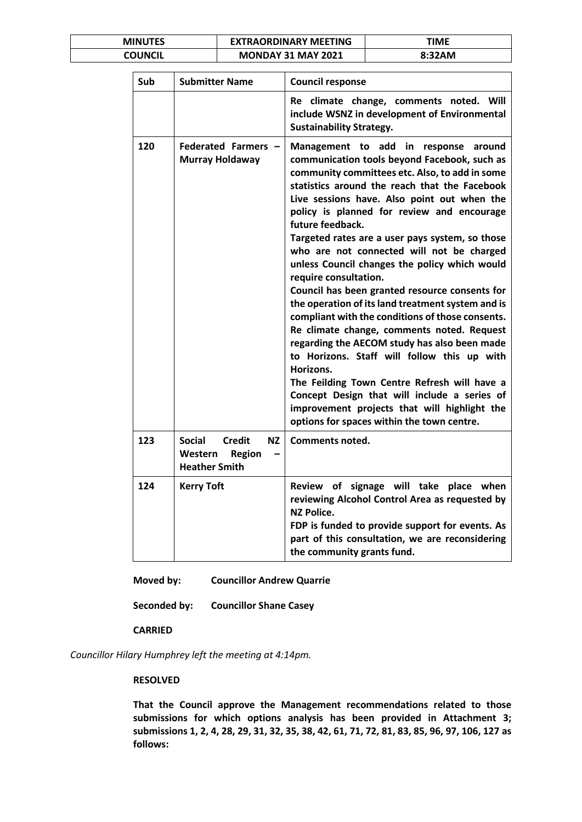| <b>MINUTES</b> | <b>EXTRAORDINARY MEETING</b> | TIME   |
|----------------|------------------------------|--------|
| COUNCIL        | <b>MONDAY 31 MAY 2021</b>    | 8:32AM |

| Sub | <b>Submitter Name</b>                                                                    | <b>Council response</b>                                                                                                                                                                                                                                                                                                                                                                                                                                                                                                                                                                                                                                                                                                                                                                                                                                                                                                                                                                               |
|-----|------------------------------------------------------------------------------------------|-------------------------------------------------------------------------------------------------------------------------------------------------------------------------------------------------------------------------------------------------------------------------------------------------------------------------------------------------------------------------------------------------------------------------------------------------------------------------------------------------------------------------------------------------------------------------------------------------------------------------------------------------------------------------------------------------------------------------------------------------------------------------------------------------------------------------------------------------------------------------------------------------------------------------------------------------------------------------------------------------------|
|     |                                                                                          | Re climate change, comments noted. Will<br>include WSNZ in development of Environmental<br><b>Sustainability Strategy.</b>                                                                                                                                                                                                                                                                                                                                                                                                                                                                                                                                                                                                                                                                                                                                                                                                                                                                            |
| 120 | Federated Farmers -<br>Murray Holdaway                                                   | Management to add in response around<br>communication tools beyond Facebook, such as<br>community committees etc. Also, to add in some<br>statistics around the reach that the Facebook<br>Live sessions have. Also point out when the<br>policy is planned for review and encourage<br>future feedback.<br>Targeted rates are a user pays system, so those<br>who are not connected will not be charged<br>unless Council changes the policy which would<br>require consultation.<br>Council has been granted resource consents for<br>the operation of its land treatment system and is<br>compliant with the conditions of those consents.<br>Re climate change, comments noted. Request<br>regarding the AECOM study has also been made<br>to Horizons. Staff will follow this up with<br>Horizons.<br>The Feilding Town Centre Refresh will have a<br>Concept Design that will include a series of<br>improvement projects that will highlight the<br>options for spaces within the town centre. |
| 123 | <b>Social</b><br><b>Credit</b><br>ΝZ<br>Western<br><b>Region</b><br><b>Heather Smith</b> | <b>Comments noted.</b>                                                                                                                                                                                                                                                                                                                                                                                                                                                                                                                                                                                                                                                                                                                                                                                                                                                                                                                                                                                |
| 124 | <b>Kerry Toft</b>                                                                        | Review of signage will take place when<br>reviewing Alcohol Control Area as requested by<br><b>NZ Police.</b><br>FDP is funded to provide support for events. As<br>part of this consultation, we are reconsidering<br>the community grants fund.                                                                                                                                                                                                                                                                                                                                                                                                                                                                                                                                                                                                                                                                                                                                                     |

**Moved by: Councillor Andrew Quarrie**

**Seconded by: Councillor Shane Casey**

### **CARRIED**

*Councillor Hilary Humphrey left the meeting at 4:14pm.*

### **RESOLVED**

**That the Council approve the Management recommendations related to those submissions for which options analysis has been provided in Attachment 3; submissions 1, 2, 4, 28, 29, 31, 32, 35, 38, 42, 61, 71, 72, 81, 83, 85, 96, 97, 106, 127 as follows:**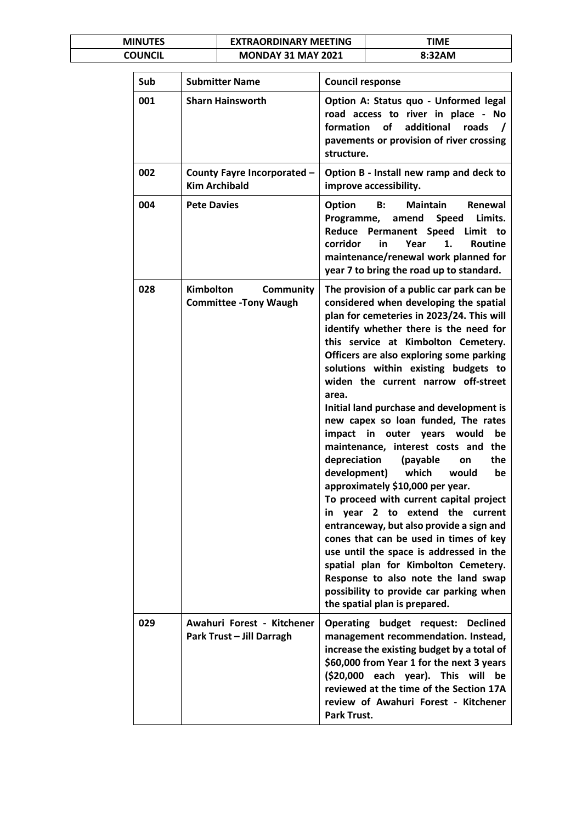| <b>MINUTES</b> | <b>EXTRAORDINARY MEETING</b> | ΓΙΜΕ   |
|----------------|------------------------------|--------|
| COUNCIL        | <b>MONDAY 31 MAY 2021</b>    | 8:32AM |

| Sub | <b>Submitter Name</b>                                         | <b>Council response</b>                                                                                                                                                                                                                                                                                                                                                                                                                                                                                                                                                                                                                                                                                                                                                                                                                                                                                                                                                                                                            |
|-----|---------------------------------------------------------------|------------------------------------------------------------------------------------------------------------------------------------------------------------------------------------------------------------------------------------------------------------------------------------------------------------------------------------------------------------------------------------------------------------------------------------------------------------------------------------------------------------------------------------------------------------------------------------------------------------------------------------------------------------------------------------------------------------------------------------------------------------------------------------------------------------------------------------------------------------------------------------------------------------------------------------------------------------------------------------------------------------------------------------|
| 001 | <b>Sharn Hainsworth</b>                                       | Option A: Status quo - Unformed legal<br>road access to river in place - No<br>of<br>additional roads<br>formation<br>pavements or provision of river crossing<br>structure.                                                                                                                                                                                                                                                                                                                                                                                                                                                                                                                                                                                                                                                                                                                                                                                                                                                       |
| 002 | County Fayre Incorporated -<br><b>Kim Archibald</b>           | Option B - Install new ramp and deck to<br>improve accessibility.                                                                                                                                                                                                                                                                                                                                                                                                                                                                                                                                                                                                                                                                                                                                                                                                                                                                                                                                                                  |
| 004 | <b>Pete Davies</b>                                            | <b>Maintain</b><br>Option<br>B:<br>Renewal<br>Limits.<br>Programme,<br>amend<br><b>Speed</b><br>Reduce<br>Permanent Speed<br>Limit<br>to<br>1.<br>corridor<br>in<br>Year<br>Routine<br>maintenance/renewal work planned for<br>year 7 to bring the road up to standard.                                                                                                                                                                                                                                                                                                                                                                                                                                                                                                                                                                                                                                                                                                                                                            |
| 028 | <b>Kimbolton</b><br>Community<br><b>Committee -Tony Waugh</b> | The provision of a public car park can be<br>considered when developing the spatial<br>plan for cemeteries in 2023/24. This will<br>identify whether there is the need for<br>this service at Kimbolton Cemetery.<br>Officers are also exploring some parking<br>solutions within existing budgets to<br>widen the current narrow off-street<br>area.<br>Initial land purchase and development is<br>new capex so loan funded, The rates<br>impact<br>in<br>outer years<br>would<br>be<br>maintenance, interest costs and<br>the<br>depreciation<br>(payable<br>the<br>on<br>development)<br>which<br>would<br>be<br>approximately \$10,000 per year.<br>To proceed with current capital project<br>in year 2 to extend the<br>current<br>entranceway, but also provide a sign and<br>cones that can be used in times of key<br>use until the space is addressed in the<br>spatial plan for Kimbolton Cemetery.<br>Response to also note the land swap<br>possibility to provide car parking when<br>the spatial plan is prepared. |
| 029 | Awahuri Forest - Kitchener<br>Park Trust - Jill Darragh       | Operating budget request:<br><b>Declined</b><br>management recommendation. Instead,<br>increase the existing budget by a total of<br>\$60,000 from Year 1 for the next 3 years<br>(\$20,000 each year). This will<br>be<br>reviewed at the time of the Section 17A<br>review of Awahuri Forest - Kitchener<br>Park Trust.                                                                                                                                                                                                                                                                                                                                                                                                                                                                                                                                                                                                                                                                                                          |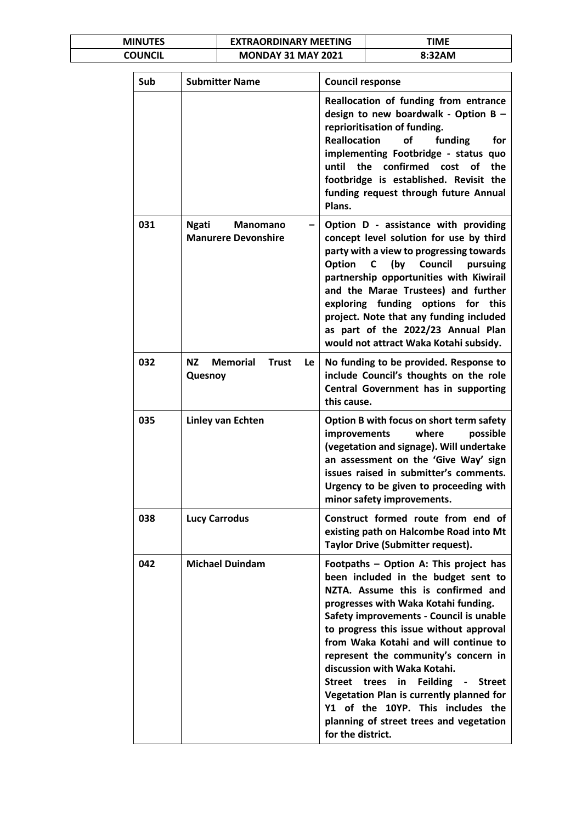| <b>MINUTES</b> | <b>EXTRAORDINARY MEETING</b> | TIME   |
|----------------|------------------------------|--------|
| COUNCIL        | <b>MONDAY 31 MAY 2021</b>    | 8:32AM |

| Sub | <b>Submitter Name</b>                                                | <b>Council response</b>                                                                                                                                                                                                                                                                                                                                                                                                                                                                                                                                                       |
|-----|----------------------------------------------------------------------|-------------------------------------------------------------------------------------------------------------------------------------------------------------------------------------------------------------------------------------------------------------------------------------------------------------------------------------------------------------------------------------------------------------------------------------------------------------------------------------------------------------------------------------------------------------------------------|
|     |                                                                      | Reallocation of funding from entrance<br>design to new boardwalk - Option B -<br>reprioritisation of funding.<br><b>Reallocation</b><br>of<br>funding<br>for<br>implementing Footbridge - status quo<br>until<br>the<br>confirmed cost<br>the<br>of<br>footbridge is established. Revisit the<br>funding request through future Annual<br>Plans.                                                                                                                                                                                                                              |
| 031 | <b>Ngati</b><br><b>Manomano</b><br><b>Manurere Devonshire</b>        | Option D - assistance with providing<br>concept level solution for use by third<br>party with a view to progressing towards<br>Option<br>(by Council<br>pursuing<br>C<br>partnership opportunities with Kiwirail<br>and the Marae Trustees) and further<br>exploring funding options for this<br>project. Note that any funding included<br>as part of the 2022/23 Annual Plan<br>would not attract Waka Kotahi subsidy.                                                                                                                                                      |
| 032 | <b>Memorial</b><br><b>NZ</b><br><b>Trust</b><br><b>Le</b><br>Quesnoy | No funding to be provided. Response to<br>include Council's thoughts on the role<br>Central Government has in supporting<br>this cause.                                                                                                                                                                                                                                                                                                                                                                                                                                       |
| 035 | Linley van Echten                                                    | Option B with focus on short term safety<br>improvements<br>where<br>possible<br>(vegetation and signage). Will undertake<br>an assessment on the 'Give Way' sign<br>issues raised in submitter's comments.<br>Urgency to be given to proceeding with<br>minor safety improvements.                                                                                                                                                                                                                                                                                           |
| 038 | <b>Lucy Carrodus</b>                                                 | Construct formed route from end of<br>existing path on Halcombe Road into Mt<br>Taylor Drive (Submitter request).                                                                                                                                                                                                                                                                                                                                                                                                                                                             |
| 042 | <b>Michael Duindam</b>                                               | Footpaths - Option A: This project has<br>been included in the budget sent to<br>NZTA. Assume this is confirmed and<br>progresses with Waka Kotahi funding.<br>Safety improvements - Council is unable<br>to progress this issue without approval<br>from Waka Kotahi and will continue to<br>represent the community's concern in<br>discussion with Waka Kotahi.<br><b>Feilding</b><br>Street trees<br>in<br><b>Street</b><br>Vegetation Plan is currently planned for<br>Y1 of the 10YP. This includes the<br>planning of street trees and vegetation<br>for the district. |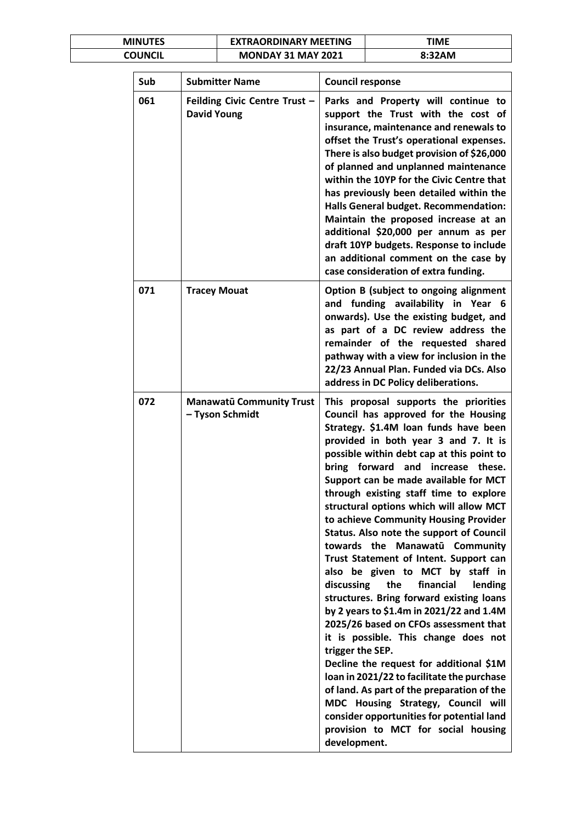| <b>MINUTES</b> | <b>EXTRAORDINARY MEETING</b> | <b>TIME</b> |
|----------------|------------------------------|-------------|
| COUNCIL        | <b>MONDAY 31 MAY 2021</b>    | 8:32AM      |

| Sub | <b>Submitter Name</b>                               | <b>Council response</b>                                                                                                                                                                                                                                                                                                                                                                                                                                                                                                                                                                                                                                                                                                                                                                                                                                                                                                                                                                                                                                                                                           |
|-----|-----------------------------------------------------|-------------------------------------------------------------------------------------------------------------------------------------------------------------------------------------------------------------------------------------------------------------------------------------------------------------------------------------------------------------------------------------------------------------------------------------------------------------------------------------------------------------------------------------------------------------------------------------------------------------------------------------------------------------------------------------------------------------------------------------------------------------------------------------------------------------------------------------------------------------------------------------------------------------------------------------------------------------------------------------------------------------------------------------------------------------------------------------------------------------------|
| 061 | Feilding Civic Centre Trust -<br><b>David Young</b> | Parks and Property will continue to<br>support the Trust with the cost of<br>insurance, maintenance and renewals to<br>offset the Trust's operational expenses.<br>There is also budget provision of \$26,000<br>of planned and unplanned maintenance<br>within the 10YP for the Civic Centre that<br>has previously been detailed within the<br>Halls General budget. Recommendation:<br>Maintain the proposed increase at an<br>additional \$20,000 per annum as per<br>draft 10YP budgets. Response to include<br>an additional comment on the case by<br>case consideration of extra funding.                                                                                                                                                                                                                                                                                                                                                                                                                                                                                                                 |
| 071 | <b>Tracey Mouat</b>                                 | Option B (subject to ongoing alignment<br>and funding availability in Year 6<br>onwards). Use the existing budget, and<br>as part of a DC review address the<br>remainder of the requested shared<br>pathway with a view for inclusion in the<br>22/23 Annual Plan. Funded via DCs. Also<br>address in DC Policy deliberations.                                                                                                                                                                                                                                                                                                                                                                                                                                                                                                                                                                                                                                                                                                                                                                                   |
| 072 | <b>Manawatū Community Trust</b><br>- Tyson Schmidt  | This proposal supports the priorities<br>Council has approved for the Housing<br>Strategy. \$1.4M loan funds have been<br>provided in both year 3 and 7. It is<br>possible within debt cap at this point to<br>bring forward<br>and increase these.<br>Support can be made available for MCT<br>through existing staff time to explore<br>structural options which will allow MCT<br>to achieve Community Housing Provider<br>Status. Also note the support of Council<br>towards the Manawatū Community<br>Trust Statement of Intent. Support can<br>also be given to MCT by staff in<br>discussing<br>the<br>financial<br>lending<br>structures. Bring forward existing loans<br>by 2 years to \$1.4m in 2021/22 and 1.4M<br>2025/26 based on CFOs assessment that<br>it is possible. This change does not<br>trigger the SEP.<br>Decline the request for additional \$1M<br>Ioan in 2021/22 to facilitate the purchase<br>of land. As part of the preparation of the<br>MDC Housing Strategy, Council will<br>consider opportunities for potential land<br>provision to MCT for social housing<br>development. |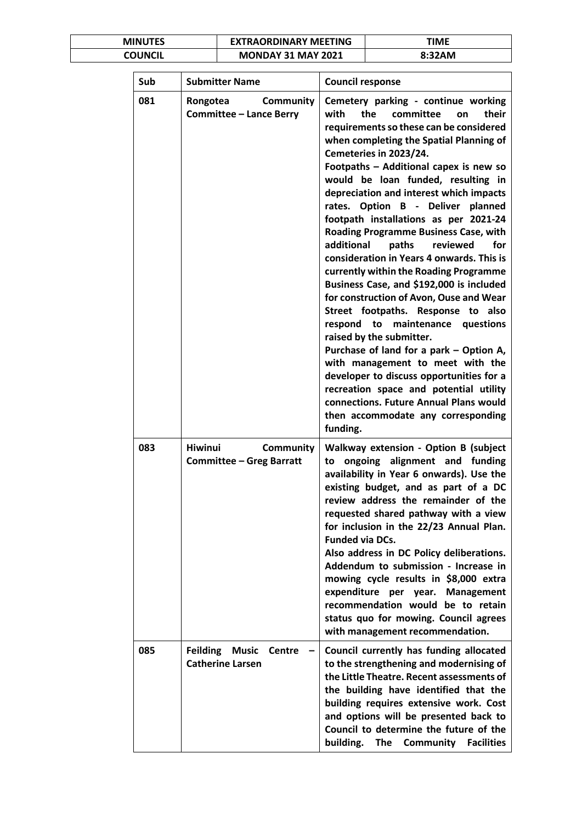| <b>MINUTES</b> | <b>EXTRAORDINARY MEETING</b> | TIME   |
|----------------|------------------------------|--------|
| COUNCIL        | <b>MONDAY 31 MAY 2021</b>    | 8:32AM |

| Sub | <b>Submitter Name</b>                                             | <b>Council response</b>                                                                                                                                                                                                                                                                                                                                                                                                                                                                                                                                                                                                                                                                                                                                                                                                                                                                                                                                                                                                                         |
|-----|-------------------------------------------------------------------|-------------------------------------------------------------------------------------------------------------------------------------------------------------------------------------------------------------------------------------------------------------------------------------------------------------------------------------------------------------------------------------------------------------------------------------------------------------------------------------------------------------------------------------------------------------------------------------------------------------------------------------------------------------------------------------------------------------------------------------------------------------------------------------------------------------------------------------------------------------------------------------------------------------------------------------------------------------------------------------------------------------------------------------------------|
| 081 | <b>Community</b><br>Rongotea<br><b>Committee - Lance Berry</b>    | Cemetery parking - continue working<br>with<br>the<br>committee<br>their<br>on<br>requirements so these can be considered<br>when completing the Spatial Planning of<br>Cemeteries in 2023/24.<br>Footpaths - Additional capex is new so<br>would be loan funded, resulting in<br>depreciation and interest which impacts<br>rates. Option B - Deliver planned<br>footpath installations as per 2021-24<br>Roading Programme Business Case, with<br>additional<br>paths<br>reviewed<br>for<br>consideration in Years 4 onwards. This is<br>currently within the Roading Programme<br>Business Case, and \$192,000 is included<br>for construction of Avon, Ouse and Wear<br>Street footpaths. Response to also<br>respond to maintenance questions<br>raised by the submitter.<br>Purchase of land for a park - Option A,<br>with management to meet with the<br>developer to discuss opportunities for a<br>recreation space and potential utility<br>connections. Future Annual Plans would<br>then accommodate any corresponding<br>funding. |
| 083 | <b>Hiwinui</b><br>Community<br><b>Committee - Greg Barratt</b>    | Walkway extension - Option B (subject<br>ongoing alignment and funding<br>to<br>availability in Year 6 onwards). Use the<br>existing budget, and as part of a DC<br>review address the remainder of the<br>requested shared pathway with a view<br>for inclusion in the 22/23 Annual Plan.<br><b>Funded via DCs.</b><br>Also address in DC Policy deliberations.<br>Addendum to submission - Increase in<br>mowing cycle results in \$8,000 extra<br>expenditure per year. Management<br>recommendation would be to retain<br>status quo for mowing. Council agrees<br>with management recommendation.                                                                                                                                                                                                                                                                                                                                                                                                                                          |
| 085 | <b>Feilding Music</b><br><b>Centre</b><br><b>Catherine Larsen</b> | Council currently has funding allocated<br>to the strengthening and modernising of<br>the Little Theatre. Recent assessments of<br>the building have identified that the<br>building requires extensive work. Cost<br>and options will be presented back to<br>Council to determine the future of the<br>building.<br><b>The</b><br>Community<br><b>Facilities</b>                                                                                                                                                                                                                                                                                                                                                                                                                                                                                                                                                                                                                                                                              |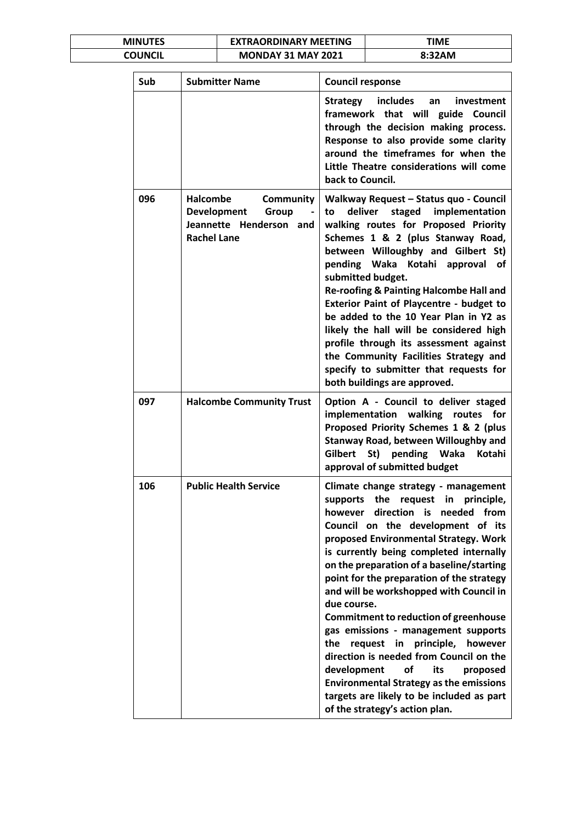| <b>MINUTES</b> | <b>EXTRAORDINARY MEETING</b> | ΓΙΜΕ   |
|----------------|------------------------------|--------|
| COUNCIL        | <b>MONDAY 31 MAY 2021</b>    | 8:32AM |

| Sub | <b>Submitter Name</b>                                                                                        | <b>Council response</b>                                                                                                                                                                                                                                                                                                                                                                                                                                                                                                                                                                                                                                                                                                                                       |
|-----|--------------------------------------------------------------------------------------------------------------|---------------------------------------------------------------------------------------------------------------------------------------------------------------------------------------------------------------------------------------------------------------------------------------------------------------------------------------------------------------------------------------------------------------------------------------------------------------------------------------------------------------------------------------------------------------------------------------------------------------------------------------------------------------------------------------------------------------------------------------------------------------|
|     |                                                                                                              | Strategy includes<br>investment<br>an<br>framework that will<br>guide Council<br>through the decision making process.<br>Response to also provide some clarity<br>around the timeframes for when the<br>Little Theatre considerations will come<br>back to Council.                                                                                                                                                                                                                                                                                                                                                                                                                                                                                           |
| 096 | <b>Halcombe</b><br>Community<br><b>Development</b><br>Group<br>Jeannette Henderson and<br><b>Rachel Lane</b> | Walkway Request - Status quo - Council<br>deliver<br>staged implementation<br>to<br>walking routes for Proposed Priority<br>Schemes 1 & 2 (plus Stanway Road,<br>between Willoughby and Gilbert St)<br>pending Waka Kotahi approval of<br>submitted budget.<br>Re-roofing & Painting Halcombe Hall and<br><b>Exterior Paint of Playcentre - budget to</b><br>be added to the 10 Year Plan in Y2 as<br>likely the hall will be considered high<br>profile through its assessment against<br>the Community Facilities Strategy and<br>specify to submitter that requests for<br>both buildings are approved.                                                                                                                                                    |
| 097 | <b>Halcombe Community Trust</b>                                                                              | Option A - Council to deliver staged<br>implementation walking routes for<br>Proposed Priority Schemes 1 & 2 (plus<br><b>Stanway Road, between Willoughby and</b><br>Gilbert<br>St) pending Waka<br>Kotahi<br>approval of submitted budget                                                                                                                                                                                                                                                                                                                                                                                                                                                                                                                    |
| 106 | <b>Public Health Service</b>                                                                                 | Climate change strategy - management<br>supports the request in principle,<br>however<br>direction<br>needed<br>from<br>is<br>Council on the development of its<br>proposed Environmental Strategy. Work<br>is currently being completed internally<br>on the preparation of a baseline/starting<br>point for the preparation of the strategy<br>and will be workshopped with Council in<br>due course.<br><b>Commitment to reduction of greenhouse</b><br>gas emissions - management supports<br>the<br>request in principle,<br>however<br>direction is needed from Council on the<br>development<br>οf<br>its<br>proposed<br><b>Environmental Strategy as the emissions</b><br>targets are likely to be included as part<br>of the strategy's action plan. |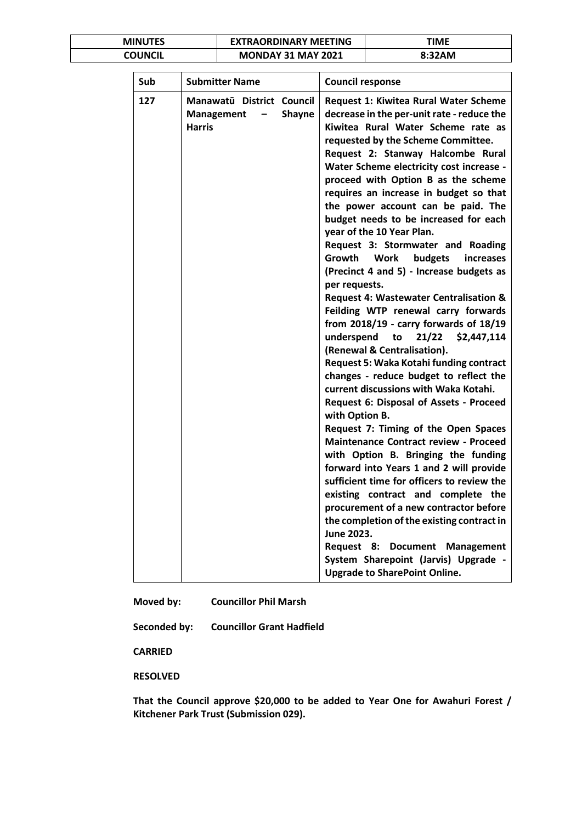| <b>MINUTES</b> | <b>EXTRAORDINARY MEETING</b> | TIME   |
|----------------|------------------------------|--------|
| COUNCIL        | <b>MONDAY 31 MAY 2021</b>    | 8:32AM |

| Sub | <b>Submitter Name</b>                                                                                 | <b>Council response</b>                                                                                                                                                                                                                                                                                                                                                                                                                                                                                                                                                                                                                                                                                                                                                                                                                                                                                                                                                                                                                                                                                                                                                                                                                                                                                                                                                                                                                                                                                                |
|-----|-------------------------------------------------------------------------------------------------------|------------------------------------------------------------------------------------------------------------------------------------------------------------------------------------------------------------------------------------------------------------------------------------------------------------------------------------------------------------------------------------------------------------------------------------------------------------------------------------------------------------------------------------------------------------------------------------------------------------------------------------------------------------------------------------------------------------------------------------------------------------------------------------------------------------------------------------------------------------------------------------------------------------------------------------------------------------------------------------------------------------------------------------------------------------------------------------------------------------------------------------------------------------------------------------------------------------------------------------------------------------------------------------------------------------------------------------------------------------------------------------------------------------------------------------------------------------------------------------------------------------------------|
| 127 | Manawatū District Council<br><b>Shayne</b><br>Management<br>$\overline{\phantom{m}}$<br><b>Harris</b> | <b>Request 1: Kiwitea Rural Water Scheme</b><br>decrease in the per-unit rate - reduce the<br>Kiwitea Rural Water Scheme rate as<br>requested by the Scheme Committee.<br>Request 2: Stanway Halcombe Rural<br>Water Scheme electricity cost increase -<br>proceed with Option B as the scheme<br>requires an increase in budget so that<br>the power account can be paid. The<br>budget needs to be increased for each<br>year of the 10 Year Plan.<br>Request 3: Stormwater and Roading<br>budgets<br>Growth<br><b>Work</b><br>increases<br>(Precinct 4 and 5) - Increase budgets as<br>per requests.<br>Request 4: Wastewater Centralisation &<br>Feilding WTP renewal carry forwards<br>from $2018/19$ - carry forwards of $18/19$<br>underspend<br>21/22<br>\$2,447,114<br>to<br>(Renewal & Centralisation).<br>Request 5: Waka Kotahi funding contract<br>changes - reduce budget to reflect the<br>current discussions with Waka Kotahi.<br>Request 6: Disposal of Assets - Proceed<br>with Option B.<br>Request 7: Timing of the Open Spaces<br><b>Maintenance Contract review - Proceed</b><br>with Option B. Bringing the funding<br>forward into Years 1 and 2 will provide<br>sufficient time for officers to review the<br>existing contract and complete the<br>procurement of a new contractor before<br>the completion of the existing contract in<br>June 2023.<br>Request 8:<br><b>Document</b><br><b>Management</b><br>System Sharepoint (Jarvis) Upgrade -<br><b>Upgrade to SharePoint Online.</b> |

**Moved by: Councillor Phil Marsh**

**Seconded by: Councillor Grant Hadfield**

**CARRIED**

**RESOLVED**

**That the Council approve \$20,000 to be added to Year One for Awahuri Forest / Kitchener Park Trust (Submission 029).**